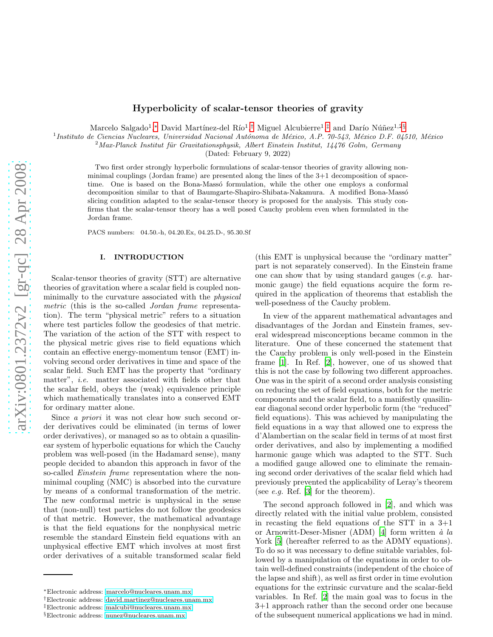# Hyperbolicity of scalar-tensor theories of gravity

Marcelo Salgado<sup>1</sup>,\* David Martínez-del Río<sup>1</sup>,<sup>[†](#page-0-1)</sup> Miguel Alcubierre<sup>1</sup>,<sup>[‡](#page-0-2)</sup> and Darío Núñez<sup>1,2[§](#page-0-3)</sup>

<sup>1</sup> Instituto de Ciencias Nucleares, Universidad Nacional Autónoma de México, A.P. 70-543, México D.F. 04510, México

<sup>2</sup> Max-Planck Institut für Gravitationsphysik, Albert Einstein Institut, 14476 Golm, Germany

(Dated: February 9, 2022)

Two first order strongly hyperbolic formulations of scalar-tensor theories of gravity allowing nonminimal couplings (Jordan frame) are presented along the lines of the 3+1 decomposition of spacetime. One is based on the Bona-Massó formulation, while the other one employs a conformal decomposition similar to that of Baumgarte-Shapiro-Shibata-Nakamura. A modified Bona-Massó slicing condition adapted to the scalar-tensor theory is proposed for the analysis. This study confirms that the scalar-tensor theory has a well posed Cauchy problem even when formulated in the Jordan frame.

PACS numbers: 04.50.-h, 04.20.Ex, 04.25.D-, 95.30.Sf

## I. INTRODUCTION

Scalar-tensor theories of gravity (STT) are alternative theories of gravitation where a scalar field is coupled nonminimally to the curvature associated with the physical metric (this is the so-called Jordan frame representation). The term "physical metric" refers to a situation where test particles follow the geodesics of that metric. The variation of the action of the STT with respect to the physical metric gives rise to field equations which contain an effective energy-momentum tensor (EMT) involving second order derivatives in time and space of the scalar field. Such EMT has the property that "ordinary matter", i.e. matter associated with fields other that the scalar field, obeys the (weak) equivalence principle which mathematically translates into a conserved EMT for ordinary matter alone.

Since *a priori* it was not clear how such second order derivatives could be eliminated (in terms of lower order derivatives), or managed so as to obtain a quasilinear system of hyperbolic equations for which the Cauchy problem was well-posed (in the Hadamard sense), many people decided to abandon this approach in favor of the so-called *Einstein frame* representation where the nonminimal coupling (NMC) is absorbed into the curvature by means of a conformal transformation of the metric. The new conformal metric is unphysical in the sense that (non-null) test particles do not follow the geodesics of that metric. However, the mathematical advantage is that the field equations for the nonphysical metric resemble the standard Einstein field equations with an unphysical effective EMT which involves at most first order derivatives of a suitable transformed scalar field

(this EMT is unphysical because the "ordinary matter" part is not separately conserved). In the Einstein frame one can show that by using standard gauges (e.g. harmonic gauge) the field equations acquire the form required in the application of theorems that establish the well-posedness of the Cauchy problem.

In view of the apparent mathematical advantages and disadvantages of the Jordan and Einstein frames, several widespread misconceptions became common in the literature. One of these concerned the statement that the Cauchy problem is only well-posed in the Einstein frame [\[1\]](#page-13-0). In Ref. [\[2](#page-13-1)], however, one of us showed that this is not the case by following two different approaches. One was in the spirit of a second order analysis consisting on reducing the set of field equations, both for the metric components and the scalar field, to a manifestly quasilinear diagonal second order hyperbolic form (the "reduced" field equations). This was achieved by manipulating the field equations in a way that allowed one to express the d'Alambertian on the scalar field in terms of at most first order derivatives, and also by implementing a modified harmonic gauge which was adapted to the STT. Such a modified gauge allowed one to eliminate the remaining second order derivatives of the scalar field which had previously prevented the applicability of Leray's theorem (see e.g. Ref. [\[3](#page-13-2)] for the theorem).

The second approach followed in [\[2\]](#page-13-1), and which was directly related with the initial value problem, consisted in recasting the field equations of the STT in a  $3+1$ or Arnowitt-Deser-Misner (ADM) [\[4\]](#page-13-3) form written  $\dot{a}$  la York [\[5\]](#page-13-4) (hereafter referred to as the ADMY equations). To do so it was necessary to define suitable variables, followed by a manipulation of the equations in order to obtain well-defined constraints (independent of the choice of the lapse and shift), as well as first order in time evolution equations for the extrinsic curvature and the scalar-field variables. In Ref. [\[2](#page-13-1)] the main goal was to focus in the 3+1 approach rather than the second order one because of the subsequent numerical applications we had in mind.

<span id="page-0-0"></span><sup>∗</sup>Electronic address: [marcelo@nucleares.unam.mx](mailto:marcelo@nucleares.unam.mx)

<span id="page-0-1"></span><sup>†</sup>Electronic address: [david.martinez@nucleares.unam.mx](mailto:david.martinez@nucleares.unam.mx)

<span id="page-0-3"></span><span id="page-0-2"></span><sup>‡</sup>Electronic address: [malcubi@nucleares.unam.mx](mailto:malcubi@nucleares.unam.mx) §Electronic address: [nunez@nucleares.unam.mx](mailto:nunez@nucleares.unam.mx)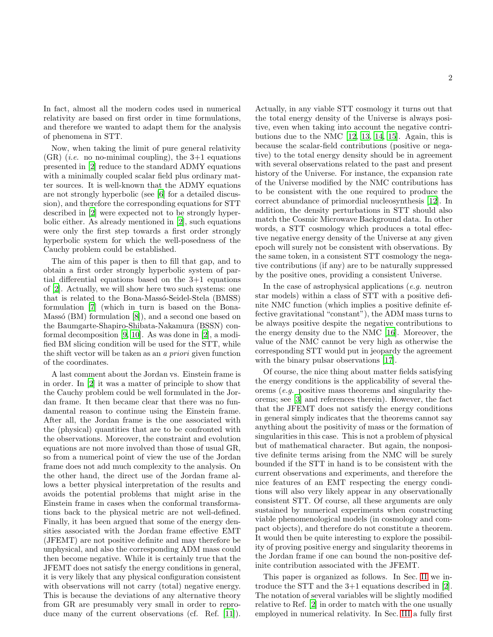In fact, almost all the modern codes used in numerical relativity are based on first order in time formulations, and therefore we wanted to adapt them for the analysis of phenomena in STT.

Now, when taking the limit of pure general relativity (GR) (*i.e.* no no-minimal coupling), the  $3+1$  equations presented in [\[2\]](#page-13-1) reduce to the standard ADMY equations with a minimally coupled scalar field plus ordinary matter sources. It is well-known that the ADMY equations are not strongly hyperbolic (see [\[6\]](#page-13-5) for a detailed discussion), and therefore the corresponding equations for STT described in [\[2\]](#page-13-1) were expected not to be strongly hyperbolic either. As already mentioned in [\[2\]](#page-13-1), such equations were only the first step towards a first order strongly hyperbolic system for which the well-posedness of the Cauchy problem could be established.

The aim of this paper is then to fill that gap, and to obtain a first order strongly hyperbolic system of partial differential equations based on the 3+1 equations of [\[2\]](#page-13-1). Actually, we will show here two such systems: one that is related to the Bona-Massó-Seidel-Stela (BMSS) formulation [\[7](#page-13-6)] (which in turn is based on the Bona-Massó (BM) formulation  $[8]$ ), and a second one based on the Baumgarte-Shapiro-Shibata-Nakamura (BSSN) conformal decomposition [\[9,](#page-13-8) [10](#page-13-9)]. As was done in [\[2\]](#page-13-1), a modified BM slicing condition will be used for the STT, while the shift vector will be taken as an a priori given function of the coordinates.

A last comment about the Jordan vs. Einstein frame is in order. In [\[2\]](#page-13-1) it was a matter of principle to show that the Cauchy problem could be well formulated in the Jordan frame. It then became clear that there was no fundamental reason to continue using the Einstein frame. After all, the Jordan frame is the one associated with the (physical) quantities that are to be confronted with the observations. Moreover, the constraint and evolution equations are not more involved than those of usual GR, so from a numerical point of view the use of the Jordan frame does not add much complexity to the analysis. On the other hand, the direct use of the Jordan frame allows a better physical interpretation of the results and avoids the potential problems that might arise in the Einstein frame in cases when the conformal transformations back to the physical metric are not well-defined. Finally, it has been argued that some of the energy densities associated with the Jordan frame effective EMT (JFEMT) are not positive definite and may therefore be unphysical, and also the corresponding ADM mass could then become negative. While it is certainly true that the JFEMT does not satisfy the energy conditions in general, it is very likely that any physical configuration consistent with observations will not carry (total) negative energy. This is because the deviations of any alternative theory from GR are presumably very small in order to reproduce many of the current observations (cf. Ref. [\[11\]](#page-13-10)).

Actually, in any viable STT cosmology it turns out that the total energy density of the Universe is always positive, even when taking into account the negative contributions due to the NMC [\[12,](#page-13-11) [13,](#page-13-12) [14,](#page-13-13) [15](#page-13-14)]. Again, this is because the scalar-field contributions (positive or negative) to the total energy density should be in agreement with several observations related to the past and present history of the Universe. For instance, the expansion rate of the Universe modified by the NMC contributions has to be consistent with the one required to produce the correct abundance of primordial nucleosynthesis [\[12\]](#page-13-11). In addition, the density perturbations in STT should also match the Cosmic Microwave Background data. In other words, a STT cosmology which produces a total effective negative energy density of the Universe at any given epoch will surely not be consistent with observations. By the same token, in a consistent STT cosmology the negative contributions (if any) are to be naturally suppressed by the positive ones, providing a consistent Universe.

In the case of astrophysical applications (e.g. neutron star models) within a class of STT with a positive definite NMC function (which implies a positive definite effective gravitational "constant"), the ADM mass turns to be always positive despite the negative contributions to the energy density due to the NMC [\[16\]](#page-13-15). Moreover, the value of the NMC cannot be very high as otherwise the corresponding STT would put in jeopardy the agreement with the binary pulsar observations [\[17\]](#page-13-16).

Of course, the nice thing about matter fields satisfying the energy conditions is the applicability of several theorems (e.g. positive mass theorems and singularity theorems; see [\[3\]](#page-13-2) and references therein). However, the fact that the JFEMT does not satisfy the energy conditions in general simply indicates that the theorems cannot say anything about the positivity of mass or the formation of singularities in this case. This is not a problem of physical but of mathematical character. But again, the nonpositive definite terms arising from the NMC will be surely bounded if the STT in hand is to be consistent with the current observations and experiments, and therefore the nice features of an EMT respecting the energy conditions will also very likely appear in any observationally consistent STT. Of course, all these arguments are only sustained by numerical experiments when constructing viable phenomenological models (in cosmology and compact objects), and therefore do not constitute a theorem. It would then be quite interesting to explore the possibility of proving positive energy and singularity theorems in the Jordan frame if one can bound the non-positive definite contribution associated with the JFEMT.

This paper is organized as follows. In Sec. [II](#page-2-0) we introduce the STT and the 3+1 equations described in [\[2\]](#page-13-1). The notation of several variables will be slightly modified relative to Ref. [\[2\]](#page-13-1) in order to match with the one usually employed in numerical relativity. In Sec. [III](#page-4-0) a fully first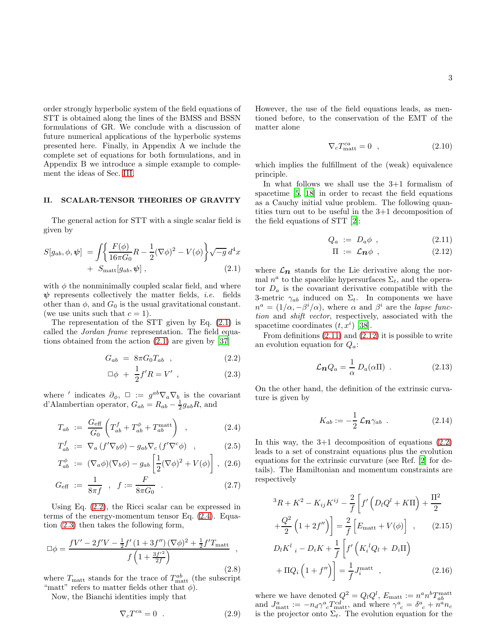order strongly hyperbolic system of the field equations of STT is obtained along the lines of the BMSS and BSSN formulations of GR. We conclude with a discussion of future numerical applications of the hyperbolic systems presented here. Finally, in Appendix A we include the complete set of equations for both formulations, and in Appendix B we introduce a simple example to complement the ideas of Sec. [III.](#page-4-0)

## <span id="page-2-0"></span>II. SCALAR-TENSOR THEORIES OF GRAVITY

The general action for STT with a single scalar field is given by

<span id="page-2-1"></span>
$$
S[g_{ab}, \phi, \psi] = \int \left\{ \frac{F(\phi)}{16\pi G_0} R - \frac{1}{2} (\nabla \phi)^2 - V(\phi) \right\} \sqrt{-g} d^4 x
$$
  
+ 
$$
S_{\text{matt}}[g_{ab}, \psi], \qquad (2.1)
$$

with  $\phi$  the nonminimally coupled scalar field, and where  $\psi$  represents collectively the matter fields, *i.e.* fields other than  $\phi$ , and  $G_0$  is the usual gravitational constant. (we use units such that  $c = 1$ ).

The representation of the STT given by Eq. [\(2.1\)](#page-2-1) is called the Jordan frame representation. The field equations obtained from the action [\(2.1\)](#page-2-1) are given by [\[37\]](#page-14-0)

<span id="page-2-2"></span>
$$
G_{ab} = 8\pi G_0 T_{ab} \t , \t (2.2)
$$

$$
\Box \phi + \frac{1}{2} f' R = V' , \qquad (2.3)
$$

where ' indicates  $\partial_{\phi}$ ,  $\square := g^{ab} \nabla_a \nabla_b$  is the covariant d'Alambertian operator,  $G_{ab} = R_{ab} - \frac{1}{2}g_{ab}R$ , and

<span id="page-2-3"></span>
$$
T_{ab} := \frac{G_{\text{eff}}}{G_0} \left( T_{ab}^f + T_{ab}^\phi + T_{ab}^{\text{matt}} \right) , \qquad (2.4)
$$

$$
T_{ab}^f := \nabla_a (f' \nabla_b \phi) - g_{ab} \nabla_c (f' \nabla^c \phi) , \qquad (2.5)
$$

$$
T_{ab}^{\phi} := (\nabla_a \phi)(\nabla_b \phi) - g_{ab} \left[ \frac{1}{2} (\nabla \phi)^2 + V(\phi) \right], (2.6)
$$

$$
G_{\text{eff}} := \frac{1}{8\pi f} , f := \frac{F}{8\pi G_0} .
$$
 (2.7)

Using Eq. [\(2.2\)](#page-2-2), the Ricci scalar can be expressed in terms of the energy-momentum tensor Eq. [\(2.4\)](#page-2-3). Equation [\(2.3\)](#page-2-2) then takes the following form,

<span id="page-2-5"></span>
$$
\Box \phi = \frac{fV' - 2f'V - \frac{1}{2}f'(1 + 3f'')(\nabla \phi)^2 + \frac{1}{2}f'T_{\text{matt}}}{f\left(1 + \frac{3f'^2}{2f}\right)} ,
$$
\n(2.8)

where  $T_{\text{matt}}$  stands for the trace of  $T_{\text{matt}}^{ab}$  (the subscript "matt" refers to matter fields other that  $\phi$ ).

Now, the Bianchi identities imply that

$$
\nabla_c T^{ca} = 0 \t . \t (2.9)
$$

However, the use of the field equations leads, as mentioned before, to the conservation of the EMT of the matter alone

$$
\nabla_c T_{\text{matt}}^{ca} = 0 \quad , \tag{2.10}
$$

which implies the fulfillment of the (weak) equivalence principle.

In what follows we shall use the 3+1 formalism of spacetime [\[5,](#page-13-4) [18\]](#page-13-17) in order to recast the field equations as a Cauchy initial value problem. The following quantities turn out to be useful in the 3+1 decomposition of the field equations of STT [\[2\]](#page-13-1):

<span id="page-2-4"></span>
$$
Q_a := D_a \phi , \qquad (2.11)
$$

$$
\Pi := \mathcal{L}_{\mathbf{n}} \phi , \qquad (2.12)
$$

where  $\mathcal{L}_{n}$  stands for the Lie derivative along the normal  $n^a$  to the spacelike hypersurfaces  $\Sigma_t$ , and the operator  $D_a$  is the covariant derivative compatible with the 3-metric  $\gamma_{ab}$  induced on  $\Sigma_t$ . In components we have  $n^a = (1/\alpha, -\beta^i/\alpha)$ , where  $\alpha$  and  $\beta^i$  are the *lapse func*tion and shift vector, respectively, associated with the spacetime coordinates  $(t, x^i)$  [\[38\]](#page-14-1).

From definitions [\(2.11\)](#page-2-4) and [\(2.12\)](#page-2-4) it is possible to write an evolution equation for  $Q_a$ :

<span id="page-2-6"></span>
$$
\mathcal{L}_{\mathbf{n}}Q_a = \frac{1}{\alpha} D_a(\alpha \Pi) \quad . \tag{2.13}
$$

On the other hand, the definition of the extrinsic curvature is given by

<span id="page-2-7"></span>
$$
K_{ab} := -\frac{1}{2} \mathcal{L} \mathbf{n} \gamma_{ab} . \qquad (2.14)
$$

In this way, the  $3+1$  decomposition of equations  $(2.2)$ leads to a set of constraint equations plus the evolution equations for the extrinsic curvature (see Ref. [\[2\]](#page-13-1) for details). The Hamiltonian and momentum constraints are respectively

<span id="page-2-8"></span>
$$
{}^{3}R + K^{2} - K_{ij}K^{ij} - \frac{2}{f} \left[ f' \left( D_{l}Q^{l} + K\Pi \right) + \frac{\Pi^{2}}{2} + \frac{Q^{2}}{2} \left( 1 + 2f'' \right) \right] = \frac{2}{f} \left[ E_{\text{matt}} + V(\phi) \right] , \qquad (2.15)
$$
  
\n
$$
D_{l}K^{l}{}_{i} - D_{i}K + \frac{1}{f} \left[ f' \left( K_{i}{}^{l}Q_{l} + D_{i}\Pi \right) + \Pi Q_{i} \left( 1 + f'' \right) \right] = \frac{1}{f} J_{i}^{\text{matt}} , \qquad (2.16)
$$

where we have denoted  $Q^2 = Q_l Q^l$ ,  $E_{\text{matt}} := n^a n^b T_{ab}^{\text{matt}}$ <br>and  $J_{\text{matt}}^a := -n_d \gamma^a{}_c T_{\text{matt}}^{cd}$ , and where  $\gamma^a{}_c = \delta^a{}_c + n^a n_c$ is the projector onto  $\Sigma_t$ . The evolution equation for the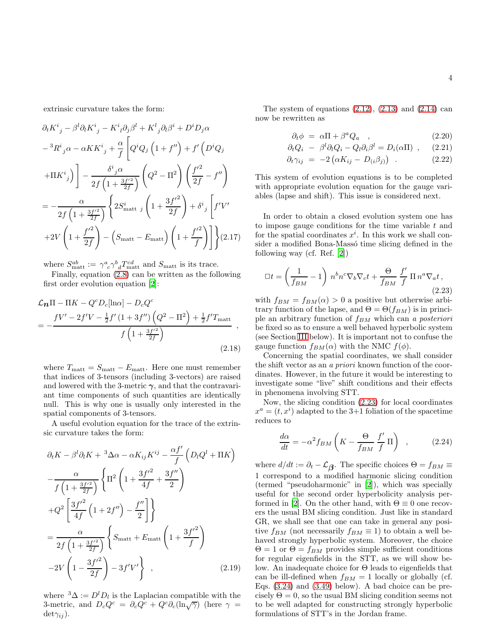extrinsic curvature takes the form:

<span id="page-3-2"></span>
$$
\partial_t K^i{}_j - \beta^l \partial_l K^i{}_j - K^i{}_l \partial_j \beta^l + K^l{}_j \partial_l \beta^i + D^i D_j \alpha
$$
  

$$
-{}^3R^i{}_j \alpha - \alpha K K^i{}_j + \frac{\alpha}{f} \left[ Q^i Q_j \left( 1 + f'' \right) + f' \left( D^i Q_j \right) \right.
$$
  

$$
+ \Pi K^i{}_j \bigg) \bigg] - \frac{\delta^i{}_j \alpha}{2f \left( 1 + \frac{3f'^2}{2f} \right)} \left( Q^2 - \Pi^2 \right) \left( \frac{f'^2}{2f} - f'' \right)
$$
  

$$
= -\frac{\alpha}{2f \left( 1 + \frac{3f'^2}{2f} \right)} \left\{ 2S^i_{\text{matt}} j \left( 1 + \frac{3f'^2}{2f} \right) + \delta^i{}_j \left[ f' V' \right] \right.
$$
  

$$
+ 2V \left( 1 + \frac{f'^2}{2f} \right) - \left( S_{\text{matt}} - E_{\text{matt}} \right) \left( 1 + \frac{f'^2}{f} \right) \bigg] \right\} (2.17)
$$

where  $S_{\text{matt}}^{ab} := \gamma^a_{\ \ c} \gamma^b_{\ \ d} T_{\text{matt}}^{cd}$  and  $S_{\text{matt}}$  is its trace.

Finally, equation [\(2.8\)](#page-2-5) can be written as the following first order evolution equation [\[2](#page-13-1)]:

$$
\mathcal{L}_{\mathbf{n}}\Pi - \Pi K - Q^c D_c[\ln \alpha] - D_c Q^c
$$
  
= 
$$
-\frac{fV' - 2f'V - \frac{1}{2}f'(1 + 3f'')\left(Q^2 - \Pi^2\right) + \frac{1}{2}f'T_{\text{matt}}}{f\left(1 + \frac{3f'^2}{2f}\right)}
$$
, (2.18)

where  $T_{\text{matt}} = S_{\text{matt}} - E_{\text{matt}}$ . Here one must remember that indices of 3-tensors (including 3-vectors) are raised and lowered with the 3-metric  $\gamma$ , and that the contravariant time components of such quantities are identically null. This is why one is usually only interested in the spatial components of 3-tensors.

A useful evolution equation for the trace of the extrinsic curvature takes the form:

$$
\partial_t K - \beta^l \partial_l K + \beta^l \Delta \alpha - \alpha K_{ij} K^{ij} - \frac{\alpha f'}{f} \left( D_l Q^l + \Pi K \right)
$$

$$
- \frac{\alpha}{f \left( 1 + \frac{3f'^2}{2f} \right)} \left\{ \Pi^2 \left( 1 + \frac{3f'^2}{4f} + \frac{3f''}{2} \right)
$$

$$
+ Q^2 \left[ \frac{3f'^2}{4f} \left( 1 + 2f'' \right) - \frac{f''}{2} \right] \right\}
$$

$$
= \frac{\alpha}{2f \left( 1 + \frac{3f'^2}{2f} \right)} \left\{ S_{\text{matt}} + E_{\text{matt}} \left( 1 + \frac{3f'^2}{f} \right)
$$

$$
-2V \left( 1 - \frac{3f'^2}{2f} \right) - 3f'V' \right\} , \qquad (2.19)
$$

where  ${}^{3}\Delta := D^{l}D_{l}$  is the Laplacian compatible with the 3-metric, and  $D_c Q^c = \partial_c Q^c + Q^c \partial_c (\ln \sqrt{\gamma})$  (here  $\gamma =$  $det\gamma_{ij}$ ).

The system of equations  $(2.12)$ ,  $(2.13)$  and  $(2.14)$  can now be rewritten as

$$
\partial_t \phi = \alpha \Pi + \beta^a Q_a \quad , \tag{2.20}
$$

$$
\partial_t Q_i - \beta^l \partial_l Q_i - Q_l \partial_i \beta^l = D_i(\alpha \Pi) , \quad (2.21)
$$

$$
\partial_t \gamma_{ij} = -2 \left( \alpha K_{ij} - D_{(i} \beta_{j)} \right) \tag{2.22}
$$

This system of evolution equations is to be completed with appropriate evolution equation for the gauge variables (lapse and shift). This issue is considered next.

In order to obtain a closed evolution system one has to impose gauge conditions for the time variable  $t$  and for the spatial coordinates  $x^i$ . In this work we shall consider a modified Bona-Massó time slicing defined in the following way (cf. Ref. [\[2](#page-13-1)])

<span id="page-3-0"></span>
$$
\Box t = \left(\frac{1}{f_{BM}} - 1\right) n^b n^c \nabla_b \nabla_c t + \frac{\Theta}{f_{BM}} \frac{f'}{f} \Pi n^a \nabla_a t ,
$$
\n(2.23)

with  $f_{BM} = f_{BM}(\alpha) > 0$  a positive but otherwise arbitrary function of the lapse, and  $\Theta = \Theta(f_{BM})$  is in principle an arbitrary function of  $f_{BM}$  which can a posteriori be fixed so as to ensure a well behaved hyperbolic system (see Section [III](#page-4-0) below). It is important not to confuse the gauge function  $f_{BM}(\alpha)$  with the NMC  $f(\phi)$ .

Concerning the spatial coordinates, we shall consider the shift vector as an a priori known function of the coordinates. However, in the future it would be interesting to investigate some "live" shift conditions and their effects in phenomena involving STT.

Now, the slicing condition [\(2.23\)](#page-3-0) for local coordinates  $x^a = (t, x^i)$  adapted to the 3+1 foliation of the spacetime reduces to

<span id="page-3-1"></span>
$$
\frac{d\alpha}{dt} = -\alpha^2 f_{BM} \left( K - \frac{\Theta}{f_{BM}} \frac{f'}{f} \Pi \right) , \qquad (2.24)
$$

where  $d/dt := \partial_t - \mathcal{L}_{\beta}$ . The specific choices  $\Theta = f_{BM} \equiv$ 1 correspond to a modified harmonic slicing condition (termed "pseudoharmonic" in [\[2](#page-13-1)]), which was specially useful for the second order hyperbolicity analysis per-formed in [\[2\]](#page-13-1). On the other hand, with  $\Theta \equiv 0$  one recovers the usual BM slicing condition. Just like in standard GR, we shall see that one can take in general any positive  $f_{BM}$  (not necessarily  $f_{BM} \equiv 1$ ) to obtain a well behaved strongly hyperbolic system. Moreover, the choice  $\Theta = 1$  or  $\Theta = f_{BM}$  provides simple sufficient conditions for regular eigenfields in the STT, as we will show below. An inadequate choice for Θ leads to eigenfields that can be ill-defined when  $f_{BM} = 1$  locally or globally (cf. Eqs. [\(3.24\)](#page-6-0) and [\(3.49\)](#page-8-0) below). A bad choice can be precisely  $\Theta = 0$ , so the usual BM slicing condition seems not to be well adapted for constructing strongly hyperbolic formulations of STT's in the Jordan frame.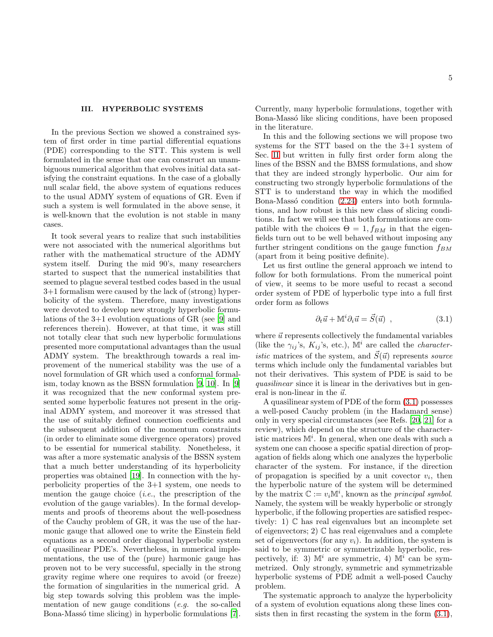### <span id="page-4-0"></span>III. HYPERBOLIC SYSTEMS

In the previous Section we showed a constrained system of first order in time partial differential equations (PDE) corresponding to the STT. This system is well formulated in the sense that one can construct an unambiguous numerical algorithm that evolves initial data satisfying the constraint equations. In the case of a globally null scalar field, the above system of equations reduces to the usual ADMY system of equations of GR. Even if such a system is well formulated in the above sense, it is well-known that the evolution is not stable in many cases.

It took several years to realize that such instabilities were not associated with the numerical algorithms but rather with the mathematical structure of the ADMY system itself. During the mid 90's, many researchers started to suspect that the numerical instabilities that seemed to plague several testbed codes based in the usual 3+1 formalism were caused by the lack of (strong) hyperbolicity of the system. Therefore, many investigations were devoted to develop new strongly hyperbolic formulations of the 3+1 evolution equations of GR (see [\[9](#page-13-8)] and references therein). However, at that time, it was still not totally clear that such new hyperbolic formulations presented more computational advantages than the usual ADMY system. The breakthrough towards a real improvement of the numerical stability was the use of a novel formulation of GR which used a conformal formalism, today known as the BSSN formulation [\[9](#page-13-8), [10\]](#page-13-9). In [\[9](#page-13-8)] it was recognized that the new conformal system presented some hyperbolic features not present in the original ADMY system, and moreover it was stressed that the use of suitably defined connection coefficients and the subsequent addition of the momentum constraints (in order to eliminate some divergence operators) proved to be essential for numerical stability. Nonetheless, it was after a more systematic analysis of the BSSN system that a much better understanding of its hyperbolicity properties was obtained [\[19\]](#page-13-18). In connection with the hyperbolicity properties of the 3+1 system, one needs to mention the gauge choice  $(i.e.,$  the prescription of the evolution of the gauge variables). In the formal developments and proofs of theorems about the well-posedness of the Cauchy problem of GR, it was the use of the harmonic gauge that allowed one to write the Einstein field equations as a second order diagonal hyperbolic system of quasilinear PDE's. Nevertheless, in numerical implementations, the use of the (pure) harmonic gauge has proven not to be very successful, specially in the strong gravity regime where one requires to avoid (or freeze) the formation of singularities in the numerical grid. A big step towards solving this problem was the implementation of new gauge conditions (e.g. the so-called Bona-Massó time slicing) in hyperbolic formulations [\[7\]](#page-13-6).

5

Currently, many hyperbolic formulations, together with Bona-Massó like slicing conditions, have been proposed in the literature.

In this and the following sections we will propose two systems for the STT based on the the 3+1 system of Sec. [II](#page-2-0) but written in fully first order form along the lines of the BSSN and the BMSS formulations, and show that they are indeed strongly hyperbolic. Our aim for constructing two strongly hyperbolic formulations of the STT is to understand the way in which the modified Bona-Massó condition  $(2.24)$  enters into both formulations, and how robust is this new class of slicing conditions. In fact we will see that both formulations are compatible with the choices  $\Theta = 1, f_{BM}$  in that the eigenfields turn out to be well behaved without imposing any further stringent conditions on the gauge function  $f_{BM}$ (apart from it being positive definite).

Let us first outline the general approach we intend to follow for both formulations. From the numerical point of view, it seems to be more useful to recast a second order system of PDE of hyperbolic type into a full first order form as follows

<span id="page-4-1"></span>
$$
\partial_t \vec{u} + \mathbb{M}^i \partial_i \vec{u} = \vec{S}(\vec{u}) \quad , \tag{3.1}
$$

where  $\vec{u}$  represents collectively the fundamental variables (like the  $\gamma_{ij}$ 's,  $K_{ij}$ 's, etc.), M<sup>i</sup> are called the *characteristic* matrices of the system, and  $\vec{S}(\vec{u})$  represents source terms which include only the fundamental variables but not their derivatives. This system of PDE is said to be quasilinear since it is linear in the derivatives but in general is non-linear in the  $\vec{u}$ .

A quasilinear system of PDE of the form [\(3.1\)](#page-4-1) possesses a well-posed Cauchy problem (in the Hadamard sense) only in very special circumstances (see Refs. [\[20,](#page-13-19) [21](#page-13-20)] for a review), which depend on the structure of the characteristic matrices  $\mathbb{M}^i$ . In general, when one deals with such a system one can choose a specific spatial direction of propagation of fields along which one analyzes the hyperbolic character of the system. For instance, if the direction of propagation is specified by a unit covector  $v_i$ , then the hyperbolic nature of the system will be determined by the matrix  $\mathbb{C} := v_i \mathbb{M}^i$ , known as the *principal symbol*. Namely, the system will be weakly hyperbolic or strongly hyperbolic, if the following properties are satisfied respectively: 1) C has real eigenvalues but an incomplete set of eigenvectors; 2)  $\mathbb C$  has real eigenvalues and a complete set of eigenvectors (for any  $v_i$ ). In addition, the system is said to be symmetric or symmetrizable hyperbolic, respectively, if: 3)  $\mathbb{M}^i$  are symmetric, 4)  $\mathbb{M}^i$  can be symmetrized. Only strongly, symmetric and symmetrizable hyperbolic systems of PDE admit a well-posed Cauchy problem.

The systematic approach to analyze the hyperbolicity of a system of evolution equations along these lines consists then in first recasting the system in the form [\(3.1\)](#page-4-1),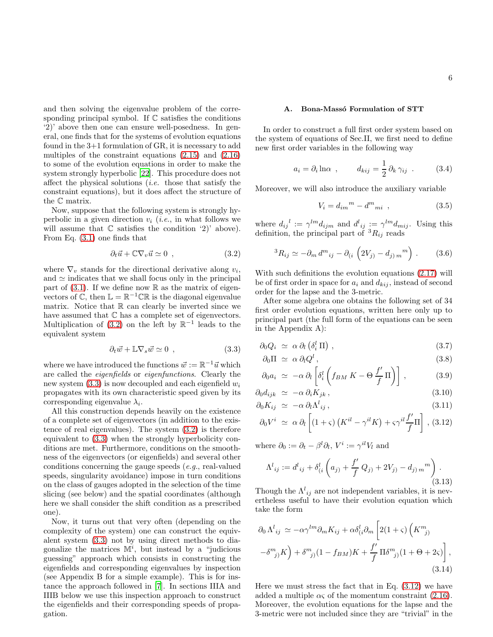and then solving the eigenvalue problem of the corresponding principal symbol. If  $\mathbb C$  satisfies the conditions '2)' above then one can ensure well-posedness. In general, one finds that for the systems of evolution equations found in the 3+1 formulation of GR, it is necessary to add multiples of the constraint equations [\(2.15\)](#page-2-8) and [\(2.16\)](#page-2-8) to some of the evolution equations in order to make the system strongly hyperbolic [\[22](#page-13-21)]. This procedure does not affect the physical solutions (i.e. those that satisfy the constraint equations), but it does affect the structure of the C matrix.

Now, suppose that the following system is strongly hyperbolic in a given direction  $v_i$  (*i.e.*, in what follows we will assume that  $\mathbb C$  satisfies the condition '2)' above). From Eq. [\(3.1\)](#page-4-1) one finds that

<span id="page-5-0"></span>
$$
\partial_t \vec{u} + \mathbb{C} \nabla_v \vec{u} \simeq 0 \quad , \tag{3.2}
$$

where  $\nabla_v$  stands for the directional derivative along  $v_i$ , and  $\simeq$  indicates that we shall focus only in the principal part of  $(3.1)$ . If we define now R as the matrix of eigenvectors of  $\mathbb{C}$ , then  $\mathbb{L} = \mathbb{R}^{-1} \mathbb{CR}$  is the diagonal eigenvalue matrix. Notice that  $\mathbb R$  can clearly be inverted since we have assumed that  $\mathbb C$  has a complete set of eigenvectors. Multiplication of  $(3.2)$  on the left by  $\mathbb{R}^{-1}$  leads to the equivalent system

<span id="page-5-1"></span>
$$
\partial_t \vec{w} + \mathbb{L}\nabla_s \vec{w} \simeq 0 \quad , \tag{3.3}
$$

where we have introduced the functions  $\vec{w} := \mathbb{R}^{-1} \vec{u}$  which are called the eigenfields or eigenfunctions. Clearly the new system  $(3.3)$  is now decoupled and each eigenfield  $w_i$ propagates with its own characteristic speed given by its corresponding eigenvalue  $\lambda_i$ .

All this construction depends heavily on the existence of a complete set of eigenvectors (in addition to the existence of real eigenvalues). The system [\(3.2\)](#page-5-0) is therefore equivalent to [\(3.3\)](#page-5-1) when the strongly hyperbolicity conditions are met. Furthermore, conditions on the smoothness of the eigenvectors (or eigenfields) and several other conditions concerning the gauge speeds (e.g., real-valued speeds, singularity avoidance) impose in turn conditions on the class of gauges adopted in the selection of the time slicing (see below) and the spatial coordinates (although here we shall consider the shift condition as a prescribed one).

Now, it turns out that very often (depending on the complexity of the system) one can construct the equivalent system [\(3.3\)](#page-5-1) not by using direct methods to diagonalize the matrices  $\mathbb{M}^i$ , but instead by a "judicious guessing" approach which consists in constructing the eigenfields and corresponding eigenvalues by inspection (see Appendix B for a simple example). This is for instance the approach followed in [\[7\]](#page-13-6). In sections IIIA and IIIB below we use this inspection approach to construct the eigenfields and their corresponding speeds of propagation.

### A. Bona-Massó Formulation of STT

In order to construct a full first order system based on the system of equations of Sec.II, we first need to define new first order variables in the following way

<span id="page-5-4"></span>
$$
a_i = \partial_i \ln \alpha \ , \qquad d_{kij} = \frac{1}{2} \partial_k \gamma_{ij} \ . \tag{3.4}
$$

Moreover, we will also introduce the auxiliary variable

$$
V_i = d_{im}{}^m - d^m{}_{mi} \t\t(3.5)
$$

where  $d_{ij}^{\phantom{ij}} := \gamma^{lm} d_{ijm}$  and  $d^l{}_{ij} := \gamma^{lm} d_{mij}$ . Using this definition, the principal part of  ${}^3R_{ij}$  reads

$$
{}^{3}R_{ij} \simeq -\partial_m d^m{}_{ij} - \partial_{(i} \left(2V_{j)} - d_{j}{}_{m}{}^{m}\right) . \qquad (3.6)
$$

With such definitions the evolution equations [\(2.17\)](#page-3-2) will be of first order in space for  $a_i$  and  $d_{kij}$ , instead of second order for the lapse and the 3-metric.

After some algebra one obtains the following set of 34 first order evolution equations, written here only up to principal part (the full form of the equations can be seen in the Appendix A):

<span id="page-5-2"></span>
$$
\partial_0 Q_i \simeq \alpha \, \partial_l \left( \delta_i^l \, \Pi \right) \,, \tag{3.7}
$$

$$
\partial_0 \Pi \simeq \alpha \partial_l Q^l, \qquad (3.8)
$$

$$
\partial_0 a_i \simeq -\alpha \, \partial_l \left[ \delta_i^l \left( f_{BM} \, K - \Theta \, \frac{f'}{f} \, \Pi \right) \right] \,, \tag{3.9}
$$

$$
\partial_0 d_{ijk} \simeq -\alpha \partial_i K_{jk}, \tag{3.10}
$$

$$
\partial_0 K_{ij} \simeq -\alpha \partial_l \Lambda^l_{ij}, \qquad (3.11)
$$

$$
\partial_0 V^i \simeq \alpha \partial_l \left[ (1+\varsigma) \left( K^{il} - \gamma^{il} K \right) + \varsigma \gamma^{il} \frac{f'}{f} \Pi \right], \ (3.12)
$$

where  $\partial_0 := \partial_t - \beta^l \partial_l$ ,  $V^i := \gamma^{il} V_l$  and

$$
\Lambda^{l}_{ij} := d^{l}_{ij} + \delta^{l}_{(i} \left( a_{j} + \frac{f'}{f} Q_{j} + 2V_{j} - d_{j} \right) m^{m} \bigg) . \tag{3.13}
$$

Though the  $\Lambda^l_{ij}$  are not independent variables, it is nevertheless useful to have their evolution equation which take the form

<span id="page-5-3"></span>
$$
\partial_0 \Lambda^l_{\ ij} \simeq -\alpha \gamma^{lm} \partial_m K_{ij} + \alpha \delta^l_{(i} \partial_m \left[ 2(1+\varsigma) \left( K^m_{\ j)} \right. \right.\left. - \delta^m_{\ j)} K \right) + \delta^m_{\ j)} (1 - f_{BM}) K + \frac{f'}{f} \Pi \delta^m_{\ j)} (1 + \Theta + 2\varsigma) \right],
$$
\n(3.14)

Here we must stress the fact that in Eq.  $(3.12)$  we have added a multiple  $\alpha \varsigma$  of the momentum constraint [\(2.16\)](#page-2-8). Moreover, the evolution equations for the lapse and the 3-metric were not included since they are "trivial" in the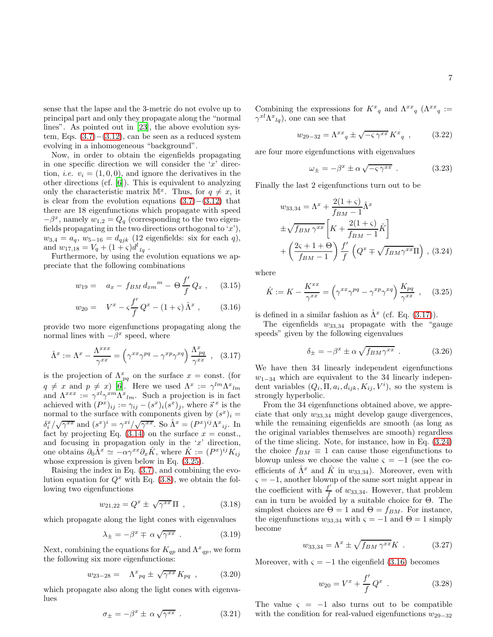sense that the lapse and the 3-metric do not evolve up to principal part and only they propagate along the "normal lines". As pointed out in [\[23\]](#page-13-22), the above evolution system, Eqs.  $(3.7)$ – $(3.12)$ , can be seen as a reduced system evolving in a inhomogeneous "background".

Now, in order to obtain the eigenfields propagating in one specific direction we will consider the  $x'$  direction, *i.e.*  $v_i = (1, 0, 0)$ , and ignore the derivatives in the other directions (cf. [\[6\]](#page-13-5)). This is equivalent to analyzing only the characteristic matrix  $\mathbb{M}^x$ . Thus, for  $q \neq x$ , it is clear from the evolution equations  $(3.7)-(3.12)$  $(3.7)-(3.12)$  that there are 18 eigenfunctions which propagate with speed  $-\beta^x$ , namely  $w_{1,2} = Q_q$  (corresponding to the two eigenfields propagating in the two directions orthogonal to  $x'$ ),  $w_{3,4} = a_q, w_{5-16} = d_{qjk}$  (12 eigenfields: six for each q), and  $w_{17,18} = V_q + (1+\varsigma)d^l_{lq}$ .

Furthermore, by using the evolution equations we appreciate that the following combinations

<span id="page-6-3"></span>
$$
w_{19} = a_x - f_{BM} d_{xm}{}^m - \Theta \frac{f'}{f} Q_x , \quad (3.15)
$$

$$
w_{20} = V^x - \varsigma \frac{f'}{f} Q^x - (1+\varsigma) \hat{\Lambda}^x , \qquad (3.16)
$$

provide two more eigenfunctions propagating along the normal lines with  $-\beta^x$  speed, where

<span id="page-6-2"></span>
$$
\hat{\Lambda}^x := \Lambda^x - \frac{\Lambda^{xxx}}{\gamma^{xx}} = \left(\gamma^{xx}\gamma^{pq} - \gamma^{xp}\gamma^{xq}\right)\frac{\Lambda_{pq}^x}{\gamma^{xx}} , \quad (3.17)
$$

is the projection of  $\Lambda_{pq}^x$  on the surface  $x = \text{const.}$  (for  $q \neq x$  and  $p \neq x$ ) [\[6](#page-13-5)]. Here we used  $\Lambda^x := \gamma^{lm} \Lambda^x_{lm}$ <br>and  $\Lambda^{xxx} := \gamma^{xl} \gamma^{xm} \Lambda^x_{lm}$ . Such a projection is in fact achieved with  $(P^x)_{ij} := \gamma_{ij} - (s^x)_i (s^x)_j$ , where  $\vec{s}^x$  is the normal to the surface with components given by  $(s^x)_i =$  $\delta_i^x/\sqrt{\gamma^{xx}}$  and  $(s^x)^i = \gamma^{xi}/\sqrt{\gamma^{xx}}$ . So  $\hat{\Lambda}^x = (P^x)^{ij} \Lambda^x_{ij}$ . In fact by projecting Eq.  $(3.14)$  on the surface  $x = \text{const.}$ , and focusing in propagation only in the  $x'$  direction, one obtains  $\partial_0 \hat{\Lambda}^x \simeq -\alpha \gamma^{xx} \partial_x \hat{K}$ , where  $\hat{K} := (P^x)^{ij} K_{ij}$ whose expression is given below in Eq. [\(3.25\)](#page-6-1).

Raising the index in Eq. [\(3.7\)](#page-5-2), and combining the evolution equation for  $Q^x$  with Eq. [\(3.8\)](#page-5-2), we obtain the following two eigenfunctions

$$
w_{21,22} = Q^x \pm \sqrt{\gamma^{xx}} \Pi , \qquad (3.18)
$$

which propagate along the light cones with eigenvalues

$$
\lambda_{\pm} = -\beta^x \mp \alpha \sqrt{\gamma^{xx}} \ . \tag{3.19}
$$

Next, combining the equations for  $K_{qp}$  and  $\Lambda^x_{qp}$ , we form the following six more eigenfunctions:

$$
w_{23-28} = \Lambda^x{}_{pq} \pm \sqrt{\gamma^{xx}} K_{pq} \quad , \tag{3.20}
$$

which propagate also along the light cones with eigenvalues

<span id="page-6-6"></span>
$$
\sigma_{\pm} = -\beta^x \pm \alpha \sqrt{\gamma^{xx}} \ . \tag{3.21}
$$

Combining the expressions for  $K^x{}_q$  and  $\Lambda^{xx}{}_q$  ( $\Lambda^{xx}{}_q$  :=  $\gamma^{xl} \Lambda^{x}_{lq}$ , one can see that

<span id="page-6-4"></span>
$$
w_{29-32} = \Lambda^{xx}{}_q \pm \sqrt{-\varsigma \,\gamma^{xx}} \, K^x{}_q \ , \qquad (3.22)
$$

are four more eigenfunctions with eigenvalues

<span id="page-6-7"></span>
$$
\omega_{\pm} = -\beta^x \pm \alpha \sqrt{-\varsigma \gamma^{xx}} \ . \tag{3.23}
$$

Finally the last 2 eigenfunctions turn out to be

<span id="page-6-0"></span>
$$
w_{33,34} = \Lambda^x + \frac{2(1+\varsigma)}{f_{BM}-1} \hat{\Lambda}^x
$$
  
\n
$$
\pm \sqrt{f_{BM} \gamma^{xx}} \left[ K + \frac{2(1+\varsigma)}{f_{BM}-1} \hat{K} \right]
$$
  
\n
$$
+ \left( \frac{2\varsigma + 1 + \Theta}{f_{BM}-1} \right) \frac{f'}{f} \left( Q^x \mp \sqrt{f_{BM} \gamma^{xx}} \Pi \right), (3.24)
$$

where

<span id="page-6-1"></span>
$$
\hat{K} := K - \frac{K^{xx}}{\gamma^{xx}} = \left(\gamma^{xx}\gamma^{pq} - \gamma^{xp}\gamma^{xq}\right)\frac{K_{pq}}{\gamma^{xx}}, \quad (3.25)
$$

is defined in a similar fashion as  $\hat{\Lambda}^x$  (cf. Eq. [\(3.17\)](#page-6-2)).

The eigenfields  $w_{33,34}$  propagate with the "gauge" speeds" given by the following eigenvalues

<span id="page-6-8"></span>
$$
\delta_{\pm} = -\beta^x \pm \alpha \sqrt{f_{BM} \gamma^{xx}} \ . \tag{3.26}
$$

We have then 34 linearly independent eigenfunctions  $w_{1-34}$  which are equivalent to the 34 linearly independent variables  $(Q_i, \Pi, a_i, d_{ijk}, K_{ij}, V^i)$ , so the system is strongly hyperbolic.

From the 34 eigenfunctions obtained above, we appreciate that only  $w_{33,34}$  might develop gauge divergences, while the remaining eigenfields are smooth (as long as the original variables themselves are smooth) regardless of the time slicing. Note, for instance, how in Eq. [\(3.24\)](#page-6-0) the choice  $f_{BM} \equiv 1$  can cause those eigenfunctions to blowup unless we choose the value  $\varsigma = -1$  (see the coefficients of  $\hat{\Lambda}^x$  and  $\hat{K}$  in  $w_{33,34}$ ). Moreover, even with  $\varsigma = -1$ , another blowup of the same sort might appear in the coefficient with  $\frac{f'}{f}$  $\frac{d}{d}$  of  $w_{33,34}$ . However, that problem can in turn be avoided by a suitable choice for Θ. The simplest choices are  $\Theta = 1$  and  $\Theta = f_{BM}$ . For instance, the eigenfunctions  $w_{33,34}$  with  $\varsigma = -1$  and  $\Theta = 1$  simply become

$$
w_{33,34} = \Lambda^x \pm \sqrt{f_{BM} \gamma^{xx}} K . \qquad (3.27)
$$

Moreover, with  $\varsigma = -1$  the eigenfield [\(3.16\)](#page-6-3) becomes

<span id="page-6-5"></span>
$$
w_{20} = V^x + \frac{f'}{f} Q^x . \tag{3.28}
$$

The value  $\varsigma = -1$  also turns out to be compatible with the condition for real-valued eigenfunctions  $w_{29-32}$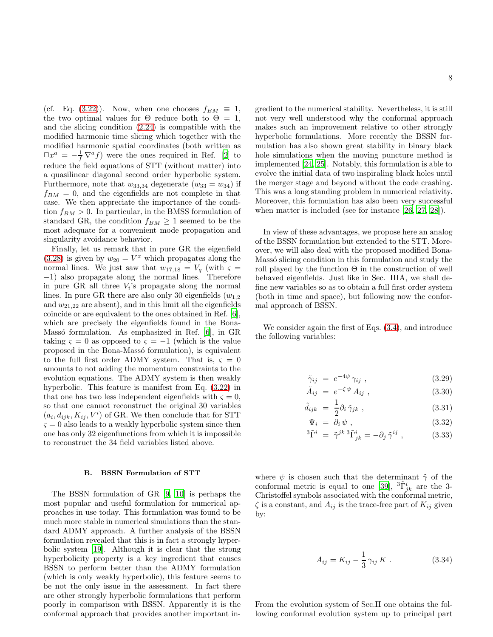(cf. Eq. [\(3.22\)](#page-6-4)). Now, when one chooses  $f_{BM} \equiv 1$ , the two optimal values for  $\Theta$  reduce both to  $\Theta = 1$ , and the slicing condition [\(2.24\)](#page-3-1) is compatible with the modified harmonic time slicing which together with the modified harmonic spatial coordinates (both written as  $\Box x^a = -\frac{1}{f} \nabla^a f$  were the ones required in Ref. [\[2](#page-13-1)] to reduce the field equations of STT (without matter) into a quasilinear diagonal second order hyperbolic system. Furthermore, note that  $w_{33,34}$  degenerate  $(w_{33} = w_{34})$  if  $f_{BM} = 0$ , and the eigenfields are not complete in that case. We then appreciate the importance of the condition  $f_{BM} > 0$ . In particular, in the BMSS formulation of standard GR, the condition  $f_{BM} \geq 1$  seemed to be the most adequate for a convenient mode propagation and singularity avoidance behavior.

Finally, let us remark that in pure GR the eigenfield  $(3.28)$  is given by  $w_{20} = V^x$  which propagates along the normal lines. We just saw that  $w_{17,18} = V_q$  (with  $\varsigma =$ −1) also propagate along the normal lines. Therefore in pure GR all three  $V_i$ 's propagate along the normal lines. In pure GR there are also only 30 eigenfields  $(w_{1,2})$ and  $w_{21,22}$  are absent), and in this limit all the eigenfields coincide or are equivalent to the ones obtained in Ref. [\[6\]](#page-13-5), which are precisely the eigenfields found in the Bona-Massó formulation. As emphasized in Ref. [\[6\]](#page-13-5), in GR taking  $\varsigma = 0$  as opposed to  $\varsigma = -1$  (which is the value proposed in the Bona-Massó formulation), is equivalent to the full first order ADMY system. That is,  $\varsigma = 0$ amounts to not adding the momentum constraints to the evolution equations. The ADMY system is then weakly hyperbolic. This feature is manifest from Eq. [\(3.22\)](#page-6-4) in that one has two less independent eigenfields with  $\zeta = 0$ , so that one cannot reconstruct the original 30 variables  $(a_i, d_{ijk}, K_{ij}, V^i)$  of GR. We then conclude that for STT  $\varsigma = 0$  also leads to a weakly hyperbolic system since then one has only 32 eigenfunctions from which it is impossible to reconstruct the 34 field variables listed above.

### B. BSSN Formulation of STT

The BSSN formulation of GR [\[9,](#page-13-8) [10](#page-13-9)] is perhaps the most popular and useful formulation for numerical approaches in use today. This formulation was found to be much more stable in numerical simulations than the standard ADMY approach. A further analysis of the BSSN formulation revealed that this is in fact a strongly hyperbolic system [\[19\]](#page-13-18). Although it is clear that the strong hyperbolicity property is a key ingredient that causes BSSN to perform better than the ADMY formulation (which is only weakly hyperbolic), this feature seems to be not the only issue in the assessment. In fact there are other strongly hyperbolic formulations that perform poorly in comparison with BSSN. Apparently it is the conformal approach that provides another important ingredient to the numerical stability. Nevertheless, it is still not very well understood why the conformal approach makes such an improvement relative to other strongly hyperbolic formulations. More recently the BSSN formulation has also shown great stability in binary black hole simulations when the moving puncture method is implemented [\[24,](#page-13-23) [25](#page-13-24)]. Notably, this formulation is able to evolve the initial data of two inspiraling black holes until the merger stage and beyond without the code crashing. This was a long standing problem in numerical relativity. Moreover, this formulation has also been very successful when matter is included (see for instance [\[26](#page-13-25), [27](#page-13-26), [28\]](#page-13-27)).

In view of these advantages, we propose here an analog of the BSSN formulation but extended to the STT. Moreover, we will also deal with the proposed modified Bona-Massó slicing condition in this formulation and study the roll played by the function  $\Theta$  in the construction of well behaved eigenfields. Just like in Sec. IIIA, we shall define new variables so as to obtain a full first order system (both in time and space), but following now the conformal approach of BSSN.

We consider again the first of Eqs. [\(3.4\)](#page-5-4), and introduce the following variables:

<span id="page-7-0"></span>
$$
\tilde{\gamma}_{ij} = e^{-4\psi} \gamma_{ij} , \qquad (3.29)
$$

$$
\tilde{A}_{ij} = e^{-\zeta \psi} A_{ij} , \qquad (3.30)
$$

$$
\tilde{d}_{ijk} = \frac{1}{2} \partial_i \tilde{\gamma}_{jk} , \qquad (3.31)
$$

$$
\Psi_i = \partial_i \psi \tag{3.32}
$$

$$
{}^{3}\tilde{\Gamma}^{i} = \tilde{\gamma}^{jk} {}^{3}\tilde{\Gamma}^{i}_{jk} = -\partial_{j} \tilde{\gamma}^{ij} , \qquad (3.33)
$$

where  $\psi$  is chosen such that the determinant  $\tilde{\gamma}$  of the conformal metric is equal to one [\[39\]](#page-14-2),  ${}^3\tilde{\Gamma}^i_{jk}$  are the 3-Christoffel symbols associated with the conformal metric,  $\zeta$  is a constant, and  $A_{ij}$  is the trace-free part of  $K_{ij}$  given by:

<span id="page-7-1"></span>
$$
A_{ij} = K_{ij} - \frac{1}{3} \gamma_{ij} K . \qquad (3.34)
$$

From the evolution system of Sec.II one obtains the following conformal evolution system up to principal part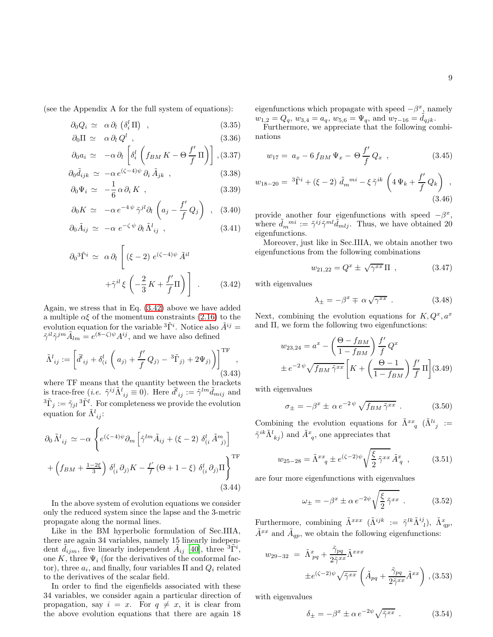(see the Appendix A for the full system of equations):

<span id="page-8-1"></span>
$$
\partial_0 Q_i \simeq \alpha \partial_l \left( \delta_i^l \Pi \right) , \qquad (3.35)
$$

$$
\partial_0 \Pi \simeq \alpha \, \partial_l \, Q^l \ , \tag{3.36}
$$

$$
\partial_0 a_i \simeq -\alpha \partial_l \left[ \delta_i^l \left( f_{BM} K - \Theta \frac{f'}{f} \Pi \right) \right], (3.37)
$$

$$
\partial_0 \tilde{d}_{ijk} \simeq -\alpha \, e^{(\zeta - 4)\psi} \, \partial_i \, \tilde{A}_{jk} \quad , \tag{3.38}
$$

$$
\partial_0 \Psi_i \simeq -\frac{1}{6} \alpha \partial_i K \t{,} \t(3.39)
$$

$$
\partial_0 K \simeq -\alpha \, e^{-4\psi} \, \tilde{\gamma}^{jl} \partial_l \left( a_j - \frac{f'}{f} Q_j \right) \;, \quad (3.40)
$$

$$
\partial_0 \tilde{A}_{ij} \simeq -\alpha \, e^{-\zeta \, \psi} \, \partial_l \, \tilde{\Lambda}^l_{ij} \tag{3.41}
$$

$$
\partial_0{}^3 \tilde{\Gamma}^i \simeq \alpha \partial_l \left[ (\xi - 2) e^{(\zeta - 4)\psi} \tilde{A}^{il} \right. + \tilde{\gamma}^{il} \xi \left( -\frac{2}{3} K + \frac{f'}{f} \Pi \right) \right] . \tag{3.42}
$$

Again, we stress that in Eq. [\(3.42\)](#page-8-1) above we have added a multiple  $\alpha \xi$  of the momentum constraints [\(2.16\)](#page-2-8) to the evolution equation for the variable  ${}^{3}\tilde{\Gamma}^{i}$ . Notice also  $\tilde{A}^{ij} =$  $\tilde{\gamma}^{il} \tilde{\gamma}^{jm} \tilde{A}_{lm} = e^{(8-\zeta)\psi} A^{ij}$ , and we have also defined

$$
\tilde{\Lambda}^{l}_{ij} := \left[ \tilde{d}^{l}_{ij} + \delta^{l}_{(i} \left( a_{j} \right) + \frac{f'}{f} Q_{j} - {}^{3} \tilde{\Gamma}_{j)} + 2 \Psi_{j} ) \right]^{TF} , \qquad (3.43)
$$

where TF means that the quantity between the brackets is trace-free (*i.e.*  $\tilde{\gamma}^{ij}\tilde{\Lambda}_{ij}^l \equiv 0$ ). Here  $\tilde{d}_{ij}^l := \tilde{\gamma}^{lm}\tilde{d}_{mij}$  and  ${}^3\tilde{\Gamma}_j := \tilde{\gamma}_{jl} {}^3\tilde{\Gamma}^l$ . For completeness we provide the evolution equation for  $\tilde{\Lambda}^l_{\ ij}$ :

$$
\partial_0 \tilde{\Lambda}^l_{ij} \simeq -\alpha \left\{ e^{(\zeta - 4)\psi} \partial_m \left[ \tilde{\gamma}^{lm} \tilde{A}_{ij} + (\xi - 2) \delta^l_{(i} \tilde{A}^m_{\ j)} \right] + \left( f_{BM} + \frac{1 - 2\xi}{3} \right) \delta^l_{(i} \partial_j) K - \frac{f'}{f} \left( \Theta + 1 - \xi \right) \delta^l_{(i} \partial_j) \Pi \right\}^{\text{TF}} \tag{3.44}
$$

In the above system of evolution equations we consider only the reduced system since the lapse and the 3-metric propagate along the normal lines.

Like in the BM hyperbolic formulation of Sec.IIIA, there are again 34 variables, namely 15 linearly independent  $\tilde{d}_{ijm}$ , five linearly independent  $\tilde{A}_{ij}$  [\[40\]](#page-14-3), three  ${}^{3}$  $\tilde{\Gamma}^{i}$ , one K, three  $\Psi_i$  (for the derivatives of the conformal factor), three  $a_i$ , and finally, four variables  $\Pi$  and  $Q_i$  related to the derivatives of the scalar field.

In order to find the eigenfields associated with these 34 variables, we consider again a particular direction of propagation, say  $i = x$ . For  $q \neq x$ , it is clear from the above evolution equations that there are again 18

eigenfunctions which propagate with speed  $-\beta^x$ , namely  $w_{1,2} = Q_q$ ,  $w_{3,4} = a_q$ ,  $w_{5,6} = \Psi_q$ , and  $w_{7-16} = d_{qjk}$ .

Furthermore, we appreciate that the following combinations

<span id="page-8-2"></span>
$$
w_{17} = a_x - 6 f_{BM} \Psi_x - \Theta \frac{f'}{f} Q_x , \qquad (3.45)
$$

$$
w_{18-20} = {}^{3}\tilde{\Gamma}^{i} + (\xi - 2) \tilde{d}_{m}^{mi} - \xi \tilde{\gamma}^{ik} \left( 4 \Psi_{k} + \frac{f'}{f} Q_{k} \right) ,
$$
\n(3.46)

provide another four eigenfunctions with speed  $-\beta^x$ , where  $\tilde{d}_m{}^{mi} := \tilde{\gamma}^{ij} \tilde{\gamma}^{ml} \tilde{d}_{mlj}$ . Thus, we have obtained 20 eigenfunctions.

Moreover, just like in Sec.IIIA, we obtain another two eigenfunctions from the following combinations

$$
w_{21,22} = Q^x \pm \sqrt{\gamma^{xx}} \Pi , \qquad (3.47)
$$

with eigenvalues

$$
\lambda_{\pm} = -\beta^x \mp \alpha \sqrt{\gamma^{xx}} \ . \tag{3.48}
$$

Next, combining the evolution equations for  $K, Q^x, a^x$ and Π, we form the following two eigenfunctions:

<span id="page-8-0"></span>
$$
w_{23,24} = a^x - \left(\frac{\Theta - f_{BM}}{1 - f_{BM}}\right) \frac{f'}{f} Q^x
$$
  

$$
\pm e^{-2\psi} \sqrt{f_{BM} \tilde{\gamma}^{xx}} \left[K + \left(\frac{\Theta - 1}{1 - f_{BM}}\right) \frac{f'}{f} \Pi\right] (3.49)
$$

with eigenvalues

$$
\sigma_{\pm} = -\beta^x \pm \alpha \, e^{-2\psi} \sqrt{f_{BM} \tilde{\gamma}^{xx}} \ . \tag{3.50}
$$

Combining the evolution equations for  $\tilde{\Lambda}^{xx}_{q}$  ( $\tilde{\Lambda}^{li}_{j}$  :=  $\tilde{\gamma}^{ik}\tilde{\Lambda}_{kj}^l$  and  $\tilde{A}_{q}^x$ , one appreciates that

<span id="page-8-3"></span>
$$
w_{25-28} = \tilde{\Lambda}^{xx}{}_q \pm e^{(\zeta - 2)\psi} \sqrt{\frac{\xi}{2} \tilde{\gamma}^{xx}} \tilde{A}^x{}_q \quad , \tag{3.51}
$$

are four more eigenfunctions with eigenvalues

$$
\omega_{\pm} = -\beta^x \pm \alpha \, e^{-2\psi} \sqrt{\frac{\xi}{2}} \tilde{\gamma}^{xx} \quad . \tag{3.52}
$$

Furthermore, combining  $\tilde{\Lambda}^{xxx}$  ( $\tilde{\Lambda}^{ijk} := \tilde{\gamma}^{lk} \tilde{\Lambda}^{ij}_{l}$ ),  $\tilde{\Lambda}^{x}_{qp}$ ,  $\tilde{A}^{xx}$  and  $\tilde{A}_{qp}$ , we obtain the following eigenfunctions:

$$
w_{29-32} = \tilde{\Lambda}_{pq}^{x} + \frac{\tilde{\gamma}_{pq}}{2\tilde{\gamma}^{xx}} \tilde{\Lambda}^{xxx}
$$
  
 
$$
\pm e^{(\zeta - 2)\psi} \sqrt{\tilde{\gamma}^{xx}} \left( \tilde{A}_{pq} + \frac{\tilde{\gamma}_{pq}}{2\tilde{\gamma}^{xx}} \tilde{A}^{xx} \right), (3.53)
$$

with eigenvalues

$$
\delta_{\pm} = -\beta^x \pm \alpha \, e^{-2\psi} \sqrt{\tilde{\gamma}^{xx}} \ . \tag{3.54}
$$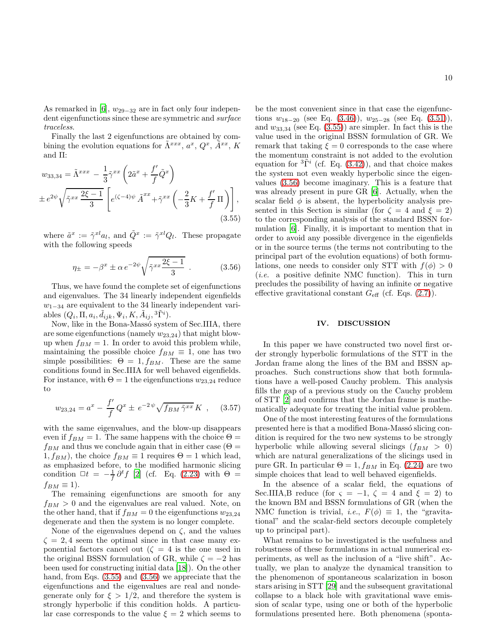As remarked in [\[6](#page-13-5)],  $w_{29-32}$  are in fact only four independent eigenfunctions since these are symmetric and *surface* traceless.

Finally the last 2 eigenfunctions are obtained by combining the evolution equations for  $\tilde{\Lambda}^{xxx}$ ,  $a^x$ ,  $Q^x$ ,  $\tilde{A}^{xx}$ , K and Π:

<span id="page-9-0"></span>
$$
w_{33,34} = \tilde{\Lambda}^{xxx} - \frac{1}{3}\tilde{\gamma}^{xx} \left(2\tilde{a}^x + \frac{f'}{f}\tilde{Q}^x\right)
$$
  

$$
\pm e^{2\psi} \sqrt{\tilde{\gamma}^{xx} \frac{2\xi - 1}{3}} \left[e^{(\zeta - 4)\psi} \tilde{A}^{xx} + \tilde{\gamma}^{xx} \left(-\frac{2}{3}K + \frac{f'}{f}\Pi\right)\right],
$$
(3.55)

where  $\tilde{a}^x := \tilde{\gamma}^{x_l} a_l$ , and  $\tilde{Q}^x := \tilde{\gamma}^{x_l} Q_l$ . These propagate with the following speeds

<span id="page-9-1"></span>
$$
\eta_{\pm} = -\beta^x \pm \alpha \, e^{-2\psi} \sqrt{\tilde{\gamma}^{xx} \frac{2\xi - 1}{3}} \tag{3.56}
$$

Thus, we have found the complete set of eigenfunctions and eigenvalues. The 34 linearly independent eigenfields  $w_{1-34}$  are equivalent to the 34 linearly independent variables  $(Q_i, \Pi, a_i, \tilde{d}_{ijk}, \Psi_i, K, \tilde{A}_{ij}, {}^3\tilde{\Gamma}^i)$ .

Now, like in the Bona-Massó system of Sec.IIIA, there are some eigenfunctions (namely  $w_{23,24}$ ) that might blowup when  $f_{BM} = 1$ . In order to avoid this problem while, maintaining the possible choice  $f_{BM} \equiv 1$ , one has two simple possibilities:  $\Theta = 1, f_{BM}$ . These are the same conditions found in Sec.IIIA for well behaved eigenfields. For instance, with  $\Theta = 1$  the eigenfunctions  $w_{23,24}$  reduce to

$$
w_{23,24} = a^x - \frac{f'}{f} Q^x \pm e^{-2\psi} \sqrt{f_{BM} \tilde{\gamma}^{xx}} K , \quad (3.57)
$$

with the same eigenvalues, and the blow-up disappears even if  $f_{BM} = 1$ . The same happens with the choice  $\Theta =$  $f_{BM}$  and thus we conclude again that in either case ( $\Theta =$  $1, f_{BM}$ , the choice  $f_{BM} \equiv 1$  requires  $\Theta = 1$  which lead, as emphasized before, to the modified harmonic slicing condition  $\Box t = -\frac{1}{f} \partial^t f$  [\[2](#page-13-1)] (cf. Eq. [\(2.23\)](#page-3-0) with  $\Theta =$  $f_{BM} \equiv 1$ .

The remaining eigenfunctions are smooth for any  $f_{BM} > 0$  and the eigenvalues are real valued. Note, on the other hand, that if  $f_{BM} = 0$  the eigenfunctions  $w_{23,24}$ degenerate and then the system is no longer complete.

None of the eigenvalues depend on  $\zeta$ , and the values  $\zeta = 2, 4$  seem the optimal since in that case many exponential factors cancel out  $(\zeta = 4$  is the one used in the original BSSN formulation of GR, while  $\zeta = -2$  has been used for constructing initial data [\[18\]](#page-13-17)). On the other hand, from Eqs.  $(3.55)$  and  $(3.56)$  we appreciate that the eigenfunctions and the eigenvalues are real and nondegenerate only for  $\xi > 1/2$ , and therefore the system is strongly hyperbolic if this condition holds. A particular case corresponds to the value  $\xi = 2$  which seems to

be the most convenient since in that case the eigenfunctions  $w_{18-20}$  (see Eq. [\(3.46\)](#page-8-2)),  $w_{25-28}$  (see Eq. [\(3.51\)](#page-8-3)), and  $w_{33,34}$  (see Eq.  $(3.55)$ ) are simpler. In fact this is the value used in the original BSSN formulation of GR. We remark that taking  $\xi = 0$  corresponds to the case where the momentum constraint is not added to the evolution equation for  ${}^{3}\tilde{\Gamma}^{i}$  (cf. Eq. [\(3.42\)](#page-8-1)), and that choice makes the system not even weakly hyperbolic since the eigenvalues [\(3.56\)](#page-9-1) become imaginary. This is a feature that was already present in pure GR [\[6](#page-13-5)]. Actually, when the scalar field  $\phi$  is absent, the hyperbolicity analysis presented in this Section is similar (for  $\zeta = 4$  and  $\xi = 2$ ) to the corresponding analysis of the standard BSSN formulation [\[6\]](#page-13-5). Finally, it is important to mention that in order to avoid any possible divergence in the eigenfields or in the source terms (the terms not contributing to the principal part of the evolution equations) of both formulations, one needs to consider only STT with  $f(\phi) > 0$ (i.e. a positive definite NMC function). This in turn precludes the possibility of having an infinite or negative effective gravitational constant  $G_{\text{eff}}$  (cf. Eqs. [\(2.7\)](#page-2-3)).

## IV. DISCUSSION

In this paper we have constructed two novel first order strongly hyperbolic formulations of the STT in the Jordan frame along the lines of the BM and BSSN approaches. Such constructions show that both formulations have a well-posed Cauchy problem. This analysis fills the gap of a previous study on the Cauchy problem of STT [\[2\]](#page-13-1) and confirms that the Jordan frame is mathematically adequate for treating the initial value problem.

One of the most interesting features of the formulations presented here is that a modified Bona-Massó slicing condition is required for the two new systems to be strongly hyperbolic while allowing several slicings  $(f_{BM} > 0)$ which are natural generalizations of the slicings used in pure GR. In particular  $\Theta = 1, f_{BM}$  in Eq. [\(2.24\)](#page-3-1) are two simple choices that lead to well behaved eigenfields.

In the absence of a scalar field, the equations of Sec.IIIA,B reduce (for  $\varsigma = -1, \zeta = 4$  and  $\xi = 2$ ) to the known BM and BSSN formulations of GR (when the NMC function is trivial, *i.e.*,  $F(\phi) \equiv 1$ , the "gravitational" and the scalar-field sectors decouple completely up to principal part).

What remains to be investigated is the usefulness and robustness of these formulations in actual numerical experiments, as well as the inclusion of a "live shift". Actually, we plan to analyze the dynamical transition to the phenomenon of spontaneous scalarization in boson stars arising in STT [\[29\]](#page-13-28) and the subsequent gravitational collapse to a black hole with gravitational wave emission of scalar type, using one or both of the hyperbolic formulations presented here. Both phenomena (sponta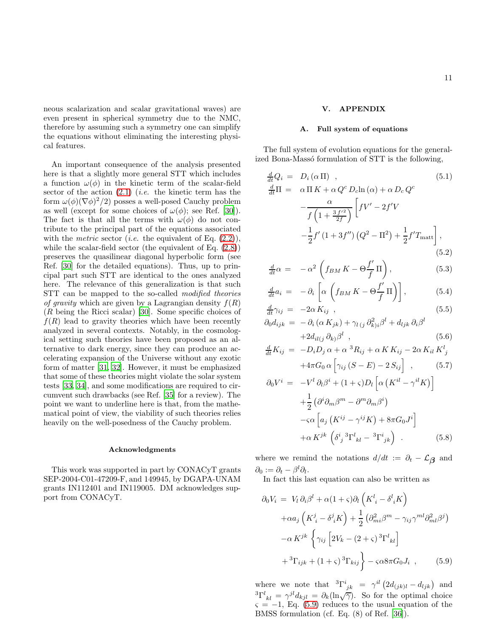neous scalarization and scalar gravitational waves) are even present in spherical symmetry due to the NMC, therefore by assuming such a symmetry one can simplify the equations without eliminating the interesting physical features.

An important consequence of the analysis presented here is that a slightly more general STT which includes a function  $\omega(\phi)$  in the kinetic term of the scalar-field sector of the action  $(2.1)$  *(i.e.* the kinetic term has the form  $\omega(\phi)(\nabla \phi)^2/2$  posses a well-posed Cauchy problem as well (except for some choices of  $\omega(\phi)$ ; see Ref. [\[30\]](#page-13-29)). The fact is that all the terms with  $\omega(\phi)$  do not contribute to the principal part of the equations associated with the *metric* sector (*i.e.* the equivalent of Eq.  $(2.2)$ ), while the scalar-field sector (the equivalent of Eq. [\(2.8\)](#page-2-5)) preserves the quasilinear diagonal hyperbolic form (see Ref. [\[30](#page-13-29)] for the detailed equations). Thus, up to principal part such STT are identical to the ones analyzed here. The relevance of this generalization is that such STT can be mapped to the so-called *modified theories* of gravity which are given by a Lagrangian density  $f(R)$ (R being the Ricci scalar) [\[30\]](#page-13-29). Some specific choices of  $f(R)$  lead to gravity theories which have been recently analyzed in several contexts. Notably, in the cosmological setting such theories have been proposed as an alternative to dark energy, since they can produce an accelerating expansion of the Universe without any exotic form of matter [\[31,](#page-13-30) [32](#page-13-31)]. However, it must be emphasized that some of these theories might violate the solar system tests [\[33,](#page-13-32) [34](#page-13-33)], and some modifications are required to circumvent such drawbacks (see Ref. [\[35](#page-13-34)] for a review). The point we want to underline here is that, from the mathematical point of view, the viability of such theories relies heavily on the well-posedness of the Cauchy problem.

### Acknowledgments

This work was supported in part by CONACyT grants SEP-2004-C01-47209-F, and 149945, by DGAPA-UNAM grants IN112401 and IN119005. DM acknowledges support from CONACyT.

## V. APPENDIX

### A. Full system of equations

The full system of evolution equations for the generalized Bona-Massó formulation of STT is the following,

$$
\frac{\frac{d}{dt}Q_i}{\frac{d}{dt}\Pi} = \alpha \Pi K + \alpha Q^c D_c \ln(\alpha) + \alpha D_c Q^c
$$
\n
$$
-\frac{\alpha}{f\left(1 + \frac{3f'^2}{2f}\right)} \left[fV' - 2f'V\right]
$$
\n
$$
-\frac{1}{2}f'(1 + 3f'')(Q^2 - \Pi^2) + \frac{1}{2}f'T_{\text{matt}}\right],
$$
\n(5.2)

$$
\frac{d}{dt}\alpha = -\alpha^2 \left( f_{BM} K - \Theta \frac{f'}{f} \Pi \right),\tag{5.3}
$$

$$
\frac{d}{dt}a_i = -\partial_i \left[ \alpha \left( f_{BM} K - \Theta \frac{f'}{f} \Pi \right) \right],
$$
\n(5.4)

$$
\frac{d}{dt}\gamma_{ij} = -2\alpha K_{ij} , \qquad (5.5)
$$
\n
$$
\frac{\partial}{\partial s}d_{\text{out}} = -\partial_{s}(\alpha K_{\text{in}}) + \gamma_{s}(\alpha \partial^{2} \beta^{l} + d_{\text{out}} \partial_{s} \beta^{l} + d_{\text{out}} \partial_{s} \beta^{l} + d_{\text{out}} \partial_{s} \beta^{l} + d_{\text{out}} \partial_{s} \beta^{l} + d_{\text{out}} \partial_{s} \beta^{l} + d_{\text{out}} \partial_{s} \beta^{l} + d_{\text{out}} \partial_{s} \beta^{l} + d_{\text{out}} \partial_{s} \beta^{l} + d_{\text{out}} \partial_{s} \beta^{l} + d_{\text{out}} \partial_{s} \beta^{l} + d_{\text{out}} \partial_{s} \beta^{l} + d_{\text{out}} \partial_{s} \beta^{l} + d_{\text{out}} \partial_{s} \beta^{l} + d_{\text{out}} \partial_{s} \beta^{l} + d_{\text{out}} \partial_{s} \beta^{l} + d_{\text{out}} \partial_{s} \beta^{l} + d_{\text{out}} \partial_{s} \beta^{l} + d_{\text{out}} \partial_{s} \beta^{l} + d_{\text{out}} \partial_{s} \beta^{l} + d_{\text{out}} \partial_{s} \beta^{l} + d_{\text{out}} \partial_{s} \beta^{l} + d_{\text{out}} \partial_{s} \beta^{l} + d_{\text{out}} \partial_{s} \beta^{l} + d_{\text{out}} \partial_{s} \beta^{l} + d_{\text{out}} \partial_{s} \beta^{l} + d_{\text{out}} \partial_{s} \beta^{l} + d_{\text{out}} \partial_{s} \beta^{l} + d_{\text{out}} \partial_{s} \beta^{l} + d_{\text{out}} \partial_{s} \beta^{l} + d_{\text{out}} \partial_{s} \beta^{l} + d_{\text{out}} \partial_{s} \beta^{l} + d_{\text{out}} \partial_{s} \beta^{l} + d_{\text{out}} \partial_{s} \beta^{l} + d_{\text{out}} \partial_{s} \beta^{l} + d_{\text{out}} \partial_{s} \beta^{l} + d_{\text{out}} \partial_{s} \beta^{l} + d_{\text{out}} \partial_{s} \beta^{l} + d_{\text{
$$

$$
\partial_0 d_{ijk} = -\partial_i (\alpha K_{jk}) + \gamma_{l(j} \partial_{kj}^2 \beta^l + d_{ljk} \partial_i \beta^l + 2d_{il(j} \partial_{kj} \beta^l , \qquad (5.6)
$$

$$
\frac{d}{dt}K_{ij} = -D_i D_j \alpha + \alpha^3 R_{ij} + \alpha K K_{ij} - 2\alpha K_{il} K^l_j
$$

$$
+ 4\pi G_0 \alpha \left[ \gamma_{ij} (S - E) - 2 S_{ij} \right] , \qquad (5.7)
$$

$$
\partial_0 V^i = -V^l \partial_l \beta^i + (1+\varsigma) D_l \left[ \alpha \left( K^{il} - \gamma^{il} K \right) \right] \n+ \frac{1}{2} \left( \partial^i \partial_m \beta^m - \partial^m \partial_m \beta^i \right) \n- \varsigma \alpha \left[ a_j \left( K^{ij} - \gamma^{ij} K \right) + 8\pi G_0 J^i \right] \n+ \alpha K^{jk} \left( \delta^i_{\ j} {}^3\Gamma^l_{\ kl} - {}^3\Gamma^i_{\ jk} \right) .
$$
\n(5.8)

where we remind the notations  $d/dt := \partial_t - \mathcal{L}_{\beta}$  and  $\partial_0 := \partial_t - \beta^l \partial_l.$ 

In fact this last equation can also be written as

<span id="page-10-0"></span>
$$
\partial_0 V_i = V_l \partial_i \beta^l + \alpha (1 + \varsigma) \partial_l \left( K^l_i - \delta^l_i K \right)
$$

$$
+ \alpha a_j \left( K^j_i - \delta^j_i K \right) + \frac{1}{2} \left( \partial^2_{mi} \beta^m - \gamma_{ij} \gamma^{ml} \partial^2_{ml} \beta^j \right)
$$

$$
- \alpha K^{jk} \left\{ \gamma_{ij} \left[ 2V_k - (2 + \varsigma)^3 \Gamma^l_{kl} \right]
$$

$$
+ \frac{3 \Gamma_{ijk} + (1 + \varsigma)^3 \Gamma_{kij}}{2} - \varsigma \alpha 8 \pi G_0 J_i , \qquad (5.9)
$$

where we note that  ${}^{3}\Gamma^{i}{}_{jk}$  =  $\gamma^{il} (2d_{(jk)l} - d_{ljk})$  and  ${}^{3}\Gamma^{l}_{kl} = \gamma^{jl} d_{kjl} = \partial_{k} (\ln \sqrt{\gamma}).$  So for the optimal choice  $\zeta = -1$ , Eq. [\(5.9\)](#page-10-0) reduces to the usual equation of the BMSS formulation (cf. Eq. (8) of Ref. [\[36\]](#page-14-4)).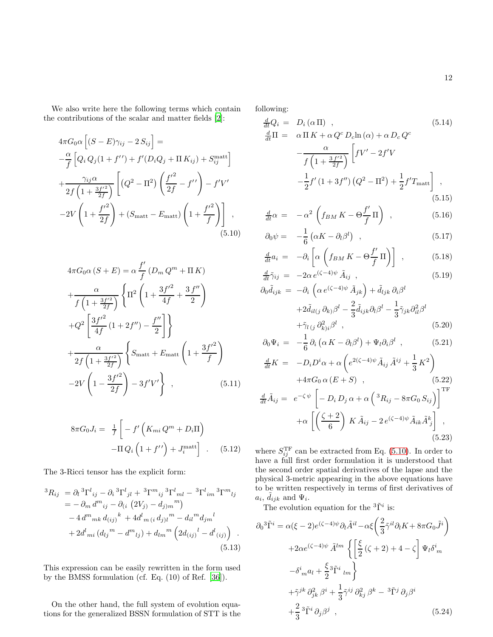We also write here the following terms which contain the contributions of the scalar and matter fields [\[2\]](#page-13-1):

<span id="page-11-0"></span>
$$
4\pi G_0 \alpha \left[ (S - E)\gamma_{ij} - 2S_{ij} \right] =
$$
  
\n
$$
-\frac{\alpha}{f} \left[ Q_i Q_j (1 + f'') + f'(D_i Q_j + \Pi K_{ij}) + S_{ij}^{\text{matt}} \right]
$$
  
\n
$$
+\frac{\gamma_{ij} \alpha}{2f \left( 1 + \frac{3f'^2}{2f} \right)} \left[ (Q^2 - \Pi^2) \left( \frac{f'^2}{2f} - f'' \right) - f'V' \right]
$$
  
\n
$$
-2V \left( 1 + \frac{f'^2}{2f} \right) + (S_{\text{matt}} - E_{\text{matt}}) \left( 1 + \frac{f'^2}{f} \right) \right],
$$
  
\n(5.10)

$$
4\pi G_0 \alpha (S + E) = \alpha \frac{f'}{f} (D_m Q^m + \Pi K)
$$
  
+ 
$$
\frac{\alpha}{f \left(1 + \frac{3f'^2}{2f}\right)} \left\{ \Pi^2 \left(1 + \frac{3f'^2}{4f} + \frac{3f''}{2}\right) \right\}
$$
  
+ 
$$
Q^2 \left[\frac{3f'^2}{4f} (1 + 2f'') - \frac{f''}{2}\right] \right\}
$$
  
+ 
$$
\frac{\alpha}{2f \left(1 + \frac{3f'^2}{2f}\right)} \left\{ S_{\text{matt}} + E_{\text{matt}} \left(1 + \frac{3f'^2}{f}\right) \right\}
$$
  
- 
$$
2V \left(1 - \frac{3f'^2}{2f}\right) - 3f'V' \left.\right\} , \qquad (5.11)
$$

<span id="page-11-1"></span>
$$
8\pi G_0 J_i = \frac{1}{f} \left[ -f'\left( K_{mi} Q^m + D_i \Pi \right) - \Pi Q_i \left( 1 + f'' \right) + J_i^{\text{matt}} \right] . \quad (5.12)
$$

The 3-Ricci tensor has the explicit form:

<span id="page-11-2"></span>
$$
{}^{3}R_{ij} = \partial_{l} {}^{3}\Gamma^{l}{}_{ij} - \partial_{i} {}^{3}\Gamma^{l}{}_{jl} + {}^{3}\Gamma^{m}{}_{ij} {}^{3}\Gamma^{l}{}_{ml} - {}^{3}\Gamma^{l}{}_{im} {}^{3}\Gamma^{m}{}_{lj}
$$
  
\n
$$
= -\partial_{m} d^{m}{}_{ij} - \partial_{(i} (2V_{j}) - d_{j})m^{m}
$$
  
\n
$$
-4 d^{m}{}_{mk} d_{(ij)}{}^{k} + 4d^{l}{}_{m} (i d_{j})l^{m} - d_{il}{}^{m} d_{jm}{}^{l}
$$
  
\n
$$
+ 2d^{l}{}_{mi} (d_{lj}{}^{m} - d^{m}{}_{lj}) + d_{lm}{}^{m} (2d_{(ij)}{}^{l} - d^{l}{}_{(ij)})
$$
  
\n(5.13)

This expression can be easily rewritten in the form used by the BMSS formulation (cf. Eq. (10) of Ref. [\[36](#page-14-4)]).

On the other hand, the full system of evolution equations for the generalized BSSN formulation of STT is the following:

$$
\frac{d}{dt}Q_i = D_i(\alpha \Pi) ,
$$
\n
$$
\frac{d}{dt}\Pi = \alpha \Pi K + \alpha Q^c D_c \ln(\alpha) + \alpha D_c Q^c
$$
\n
$$
-\frac{\alpha}{f\left(1 + \frac{3f'^2}{2f}\right)} \left[fV' - 2f'V\right]
$$
\n
$$
-\frac{1}{2}f'\left(1 + 3f''\right)\left(Q^2 - \Pi^2\right) + \frac{1}{2}f'T_{\text{matt}} \right] ,
$$
\n(5.15)

$$
\frac{d}{dt}\alpha = -\alpha^2 \left( f_{BM} K - \Theta \frac{f'}{f} \Pi \right) , \qquad (5.16)
$$

$$
\partial_0 \psi = -\frac{1}{6} \left( \alpha K - \partial_l \beta^l \right) , \qquad (5.17)
$$

$$
\frac{d}{dt}a_i = -\partial_i \left[ \alpha \left( f_{BM} K - \Theta \frac{f'}{f} \Pi \right) \right] , \qquad (5.18)
$$

$$
\frac{d}{dt}\tilde{\gamma}_{ij} = -2\alpha e^{(\zeta - 4)\psi} \tilde{A}_{ij} ,
$$
\n
$$
\partial_0 \tilde{d}_{ijk} = -\partial_i \left( \alpha e^{(\zeta - 4)\psi} \tilde{A}_{jk} \right) + \tilde{d}_{ijk} \partial_i \beta^l
$$
\n(5.19)

$$
+2\tilde{d}_{il(j}\partial_{k)}\beta^{l} - \frac{2}{3}\tilde{d}_{ijk}\partial_{l}\beta^{l} - \frac{1}{3}\tilde{\gamma}_{jk}\partial_{il}^{2}\beta^{l} +\tilde{\gamma}_{l(j}\partial_{kj}^{2}\beta^{l} , \qquad (5.20)
$$

$$
\partial_0 \Psi_i = -\frac{1}{6} \partial_i \left( \alpha \, K - \partial_l \beta^l \right) + \Psi_l \partial_i \beta^l \quad , \tag{5.21}
$$

$$
\frac{d}{dt}K = -D_i D^i \alpha + \alpha \left( e^{2(\zeta - 4)\psi} \tilde{A}_{ij} \tilde{A}^{ij} + \frac{1}{3} K^2 \right) \n+ 4\pi G_0 \alpha (E + S) ,
$$
\n(5.22)\n
$$
\begin{bmatrix}\n\tilde{\lambda} & -\zeta \psi \end{bmatrix} \begin{bmatrix}\n\tilde{\lambda} & \tilde{\lambda} & \tilde{\lambda} \\
\tilde{\lambda} & \tilde{\lambda} & \tilde{\lambda}\n\end{bmatrix}^{\text{TF}}
$$

$$
\frac{d}{dt}\tilde{A}_{ij} = e^{-\zeta \psi} \left[ -D_i D_j \alpha + \alpha \left( {}^3R_{ij} - 8\pi G_0 S_{ij} \right) \right]^{16} + \alpha \left[ \left( \frac{\zeta + 2}{6} \right) K \tilde{A}_{ij} - 2 e^{(\zeta - 4)\psi} \tilde{A}_{ik} \tilde{A}_{j}^{k} \right],
$$
\n(5.23)

where  $S_{ij}^{\text{TF}}$  can be extracted from Eq. [\(5.10\)](#page-11-0). In order to have a full first order formulation it is understood that the second order spatial derivatives of the lapse and the physical 3-metric appearing in the above equations have to be written respectively in terms of first derivatives of  $a_i$ ,  $\tilde{d}_{ijk}$  and  $\Psi_i$ .

The evolution equation for the  ${}^{3}\tilde{\Gamma}^{i}$  is:

$$
\partial_0{}^3 \tilde{\Gamma}^i = \alpha (\xi - 2) e^{(\zeta - 4)\psi} \partial_l \tilde{A}^{il} - \alpha \xi \left( \frac{2}{3} \tilde{\gamma}^{il} \partial_l K + 8\pi G_0 \tilde{J}^i \right) \n+ 2\alpha e^{(\zeta - 4)\psi} \tilde{A}^{lm} \left\{ \left[ \frac{\xi}{2} \left( \zeta + 2 \right) + 4 - \zeta \right] \Psi_l \delta^i{}_m \n- \delta^i{}_m a_l + \frac{\xi}{2} {}^3 \tilde{\Gamma}^i{}_{lm} \right\} \n+ \tilde{\gamma}^{jk} \partial^2_{jk} \beta^i + \frac{1}{3} \tilde{\gamma}^{ij} \partial^2_{kj} \beta^k - {}^3 \tilde{\Gamma}^j \partial_j \beta^i \n+ \frac{2}{3} {}^3 \tilde{\Gamma}^i \partial_j \beta^j , \qquad (5.24)
$$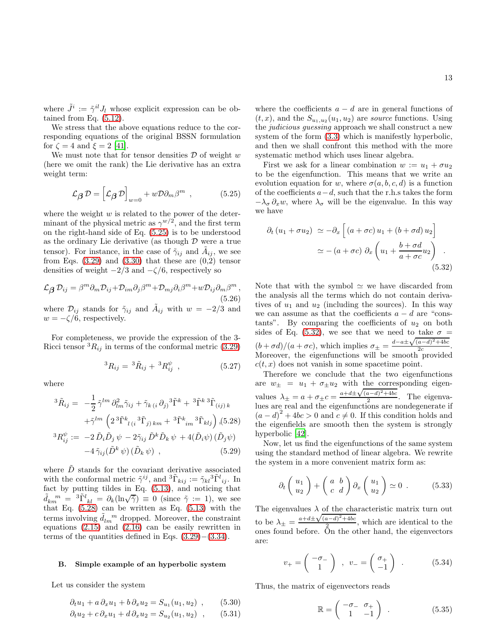where  $\tilde{J}^i := \tilde{\gamma}^{il} J_l$  whose explicit expression can be obtained from Eq. [\(5.12\)](#page-11-1).

We stress that the above equations reduce to the corresponding equations of the original BSSN formulation for  $\zeta = 4$  and  $\xi = 2$  [\[41\]](#page-14-5).

We must note that for tensor densities  $\mathcal D$  of weight w (here we omit the rank) the Lie derivative has an extra weight term:

<span id="page-12-0"></span>
$$
\mathcal{L}_{\beta} \mathcal{D} = \left[ \mathcal{L}_{\beta} \mathcal{D} \right]_{w=0} + w \mathcal{D} \partial_m \beta^m , \qquad (5.25)
$$

where the weight  $w$  is related to the power of the determinant of the physical metric as  $\gamma^{w/2}$ , and the first term on the right-hand side of Eq. [\(5.25\)](#page-12-0) is to be understood as the ordinary Lie derivative (as though  $D$  were a true tensor). For instance, in the case of  $\tilde{\gamma}_{ij}$  and  $\tilde{A}_{ij}$ , we see from Eqs.  $(3.29)$  and  $(3.30)$  that these are  $(0,2)$  tensor densities of weight  $-2/3$  and  $-\zeta/6$ , respectively so

$$
\mathcal{L}_{\beta} \mathcal{D}_{ij} = \beta^m \partial_m \mathcal{D}_{ij} + \mathcal{D}_{im} \partial_j \beta^m + \mathcal{D}_{mj} \partial_i \beta^m + w \mathcal{D}_{ij} \partial_m \beta^m ,
$$
\n(5.26)

where  $\mathcal{D}_{ij}$  stands for  $\tilde{\gamma}_{ij}$  and  $\tilde{A}_{ij}$  with  $w = -2/3$  and  $w = -\zeta/6$ , respectively.

For completeness, we provide the expression of the 3- Ricci tensor  ${}^3R_{ij}$  in terms of the conformal metric [\(3.29\)](#page-7-0)

$$
{}^{3}R_{ij} = {}^{3}\tilde{R}_{ij} + {}^{3}R^{\psi}_{ij} , \qquad (5.27)
$$

where

<span id="page-12-1"></span>
$$
{}^{3}\tilde{R}_{ij} = -\frac{1}{2}\tilde{\gamma}^{lm}\partial_{lm}^{2}\tilde{\gamma}_{ij} + \tilde{\gamma}_{k(i}\partial_{j})^{3}\tilde{\Gamma}^{k} + {}^{3}\tilde{\Gamma}^{k} {}^{3}\tilde{\Gamma}_{(ij) k} + \tilde{\gamma}^{lm}\left(2\, {}^{3}\tilde{\Gamma}^{k}{}_{l(i} {}^{3}\tilde{\Gamma}_{j) km} + {}^{3}\tilde{\Gamma}^{k}{}_{im} {}^{3}\tilde{\Gamma}_{klj}\right) , (5.28) {}^{3}R_{ij}^{\psi} := -2\,\tilde{D}_{i}\tilde{D}_{j}\,\psi - 2\tilde{\gamma}_{ij}\,\tilde{D}^{k}\tilde{D}_{k}\,\psi + 4(\tilde{D}_{i}\psi)\,(\tilde{D}_{j}\psi) -4\,\tilde{\gamma}_{ij}(\tilde{D}^{k}\,\psi)\,(\tilde{D}_{k}\,\psi) , \qquad (5.29)
$$

where  $\ddot{D}$  stands for the covariant derivative associated with the conformal metric  $\tilde{\gamma}^{ij}$ , and  ${}^3\tilde{\Gamma}_{kij} := \tilde{\gamma}_{kl} {}^3\tilde{\Gamma}^l{}_{ij}$ . In fact by putting tildes in Eq. [\(5.13\)](#page-11-2), and noticing that  $\tilde{d}_{km}^m = {}^3\tilde{\Gamma}^l_{kl} = \partial_k(\ln\sqrt{\tilde{\gamma}}) \equiv 0$  (since  $\tilde{\gamma} := 1$ ), we see that Eq. [\(5.28\)](#page-12-1) can be written as Eq. [\(5.13\)](#page-11-2) with the terms involving  $\tilde{d}_{lm}^{\ \ m}$  dropped. Moreover, the constraint equations [\(2.15\)](#page-2-8) and [\(2.16\)](#page-2-8) can be easily rewritten in terms of the quantities defined in Eqs.  $(3.29)–(3.34)$  $(3.29)–(3.34)$ .

#### B. Simple example of an hyperbolic system

Let us consider the system

<span id="page-12-3"></span>
$$
\partial_t u_1 + a \, \partial_x u_1 + b \, \partial_x u_2 = S_{u_1}(u_1, u_2) \quad , \tag{5.30}
$$

$$
\partial_t u_2 + c \, \partial_x u_1 + d \, \partial_x u_2 = S_{u_2}(u_1, u_2) \quad , \tag{5.31}
$$

13

where the coefficients  $a - d$  are in general functions of  $(t, x)$ , and the  $S_{u_1, u_2}(u_1, u_2)$  are source functions. Using the judicious guessing approach we shall construct a new system of the form [\(3.3\)](#page-5-1) which is manifestly hyperbolic, and then we shall confront this method with the more systematic method which uses linear algebra.

First we ask for a linear combination  $w := u_1 + \sigma u_2$ to be the eigenfunction. This means that we write an evolution equation for w, where  $\sigma(a, b, c, d)$  is a function of the coefficients  $a-d$ , such that the r.h.s takes the form  $-\lambda_{\sigma} \partial_x w$ , where  $\lambda_{\sigma}$  will be the eigenvalue. In this way we have

<span id="page-12-2"></span>
$$
\partial_t (u_1 + \sigma u_2) \simeq -\partial_x \left[ (a + \sigma c) u_1 + (b + \sigma d) u_2 \right]
$$

$$
\simeq - (a + \sigma c) \partial_x \left( u_1 + \frac{b + \sigma d}{a + \sigma c} u_2 \right) . \tag{5.32}
$$

Note that with the symbol  $\simeq$  we have discarded from the analysis all the terms which do not contain derivatives of  $u_1$  and  $u_2$  (including the sources). In this way we can assume as that the coefficients  $a - d$  are "constants". By comparing the coefficients of  $u_2$  on both sides of Eq. [\(5.32\)](#page-12-2), we see that we need to take  $\sigma =$ (b+  $\sigma d/(a + \sigma c)$ , which implies  $\sigma_{\pm} = \frac{d - a \pm \sqrt{(a-d)^2 + 4bc}}{2c}$  $\frac{a-a_1+4ac}{2c}$ . Moreover, the eigenfunctions will be smooth provided  $c(t, x)$  does not vanish in some spacetime point.

Therefore we conclude that the two eigenfunctions are  $w_{\pm} = u_1 + \sigma_{\pm}u_2$  with the corresponding eigenvalues  $\lambda_{\pm} = a + \sigma_{\pm}c = \frac{a + d \pm \sqrt{(a-d)^2 + 4bc}}{2}$  $\frac{a-a_1+4ac}{2}$ . The eigenvalues are real and the eigenfunctions are nondegenerate if  $(a-d)^2 + 4bc > 0$  and  $c \neq 0$ . If this condition holds and the eigenfields are smooth then the system is strongly hyperbolic [\[42\]](#page-14-6).

Now, let us find the eigenfunctions of the same system using the standard method of linear algebra. We rewrite the system in a more convenient matrix form as:

<span id="page-12-4"></span>
$$
\partial_t \begin{pmatrix} u_1 \\ u_2 \end{pmatrix} + \begin{pmatrix} a & b \\ c & d \end{pmatrix} \partial_x \begin{pmatrix} u_1 \\ u_2 \end{pmatrix} \simeq 0 . \qquad (5.33)
$$

The eigenvalues  $\lambda$  of the characteristic matrix turn out to be  $\lambda_{\pm} = \frac{a + d \pm \sqrt{(a-d)^2 + 4bc}}{2}$  $\frac{1-a}{2}$ , which are identical to the ones found before. On the other hand, the eigenvectors are:

$$
v_{+} = \begin{pmatrix} -\sigma_{-} \\ 1 \end{pmatrix} , v_{-} = \begin{pmatrix} \sigma_{+} \\ -1 \end{pmatrix} . \qquad (5.34)
$$

Thus, the matrix of eigenvectors reads

$$
\mathbb{R} = \begin{pmatrix} -\sigma_- & \sigma_+ \\ 1 & -1 \end{pmatrix} . \tag{5.35}
$$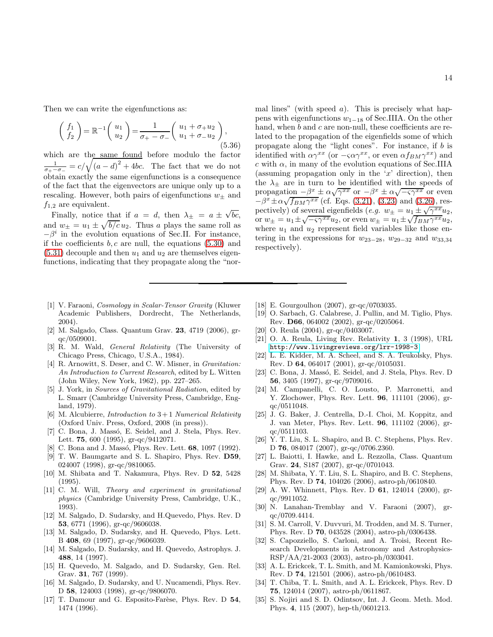Then we can write the eigenfunctions as:

$$
\begin{pmatrix} f_1 \\ f_2 \end{pmatrix} = \mathbb{R}^{-1} \begin{pmatrix} u_1 \\ u_2 \end{pmatrix} = \frac{1}{\sigma_+ - \sigma_-} \begin{pmatrix} u_1 + \sigma_+ u_2 \\ u_1 + \sigma_- u_2 \end{pmatrix},
$$
\n(5.36)

which are the same found before modulo the factor  $\frac{1}{\sigma_+ - \sigma_-} = c / \sqrt{(a-d)^2 + 4bc}$ . The fact that we do not obtain exactly the same eigenfunctions is a consequence of the fact that the eigenvectors are unique only up to a rescaling. However, both pairs of eigenfunctions  $w_{\pm}$  and  $f_{1,2}$  are equivalent.

Finally, notice that if  $a = d$ , then  $\lambda_{\pm} = a \pm \sqrt{bc}$ , and  $w_{\pm} = u_1 \pm \sqrt{b/c} u_2$ . Thus a plays the same roll as  $-\beta^i$  in the evolution equations of Sec.II. For instance, if the coefficients  $b, c$  are null, the equations  $(5.30)$  and  $(5.31)$  decouple and then  $u_1$  and  $u_2$  are themselves eigenfunctions, indicating that they propagate along the "nor-

- <span id="page-13-0"></span>[1] V. Faraoni, *Cosmology in Scalar-Tensor Gravity* (Kluwer Academic Publishers, Dordrecht, The Netherlands, 2004).
- <span id="page-13-1"></span>[2] M. Salgado, Class. Quantum Grav. 23, 4719 (2006), grqc/0509001.
- <span id="page-13-2"></span>[3] R. M. Wald, *General Relativity* (The University of Chicago Press, Chicago, U.S.A., 1984).
- <span id="page-13-3"></span>[4] R. Arnowitt, S. Deser, and C. W. Misner, in *Gravitation: An Introduction to Current Research*, edited by L. Witten (John Wiley, New York, 1962), pp. 227–265.
- <span id="page-13-4"></span>[5] J. York, in *Sources of Gravitational Radiation*, edited by L. Smarr (Cambridge University Press, Cambridge, England, 1979).
- <span id="page-13-5"></span>[6] M. Alcubierre, *Introduction to* 3+ 1 *Numerical Relativity* (Oxford Univ. Press, Oxford, 2008 (in press)).
- <span id="page-13-6"></span>[7] C. Bona, J. Massó, E. Seidel, and J. Stela, Phys. Rev. Lett. 75, 600 (1995), gr-qc/9412071.
- <span id="page-13-7"></span>[8] C. Bona and J. Massó, Phys. Rev. Lett. 68, 1097 (1992).
- <span id="page-13-8"></span>[9] T. W. Baumgarte and S. L. Shapiro, Phys. Rev. D59, 024007 (1998), gr-qc/9810065.
- <span id="page-13-9"></span>[10] M. Shibata and T. Nakamura, Phys. Rev. D 52, 5428 (1995).
- <span id="page-13-10"></span>[11] C. M. Will, *Theory and experiment in gravitational physics* (Cambridge University Press, Cambridge, U.K., 1993).
- <span id="page-13-11"></span>[12] M. Salgado, D. Sudarsky, and H.Quevedo, Phys. Rev. D 53, 6771 (1996), gr-qc/9606038.
- <span id="page-13-12"></span>[13] M. Salgado, D. Sudarsky, and H. Quevedo, Phys. Lett. B 408, 69 (1997), gr-qc/9606039.
- <span id="page-13-13"></span>[14] M. Salgado, D. Sudarsky, and H. Quevedo, Astrophys. J. 488, 14 (1997).
- <span id="page-13-14"></span>[15] H. Quevedo, M. Salgado, and D. Sudarsky, Gen. Rel. Grav. 31, 767 (1999).
- <span id="page-13-15"></span>[16] M. Salgado, D. Sudarsky, and U. Nucamendi, Phys. Rev. D 58, 124003 (1998), gr-qc/9806070.
- <span id="page-13-16"></span>[17] T. Damour and G. Esposito-Farèse, Phys. Rev. D 54, 1474 (1996).

mal lines" (with speed  $a$ ). This is precisely what happens with eigenfunctions  $w_{1-18}$  of Sec.IIIA. On the other hand, when  $b$  and  $c$  are non-null, these coefficients are related to the propagation of the eigenfields some of which propagate along the "light cones". For instance, if b is identified with  $\alpha \gamma^{xx}$  (or  $-\varsigma \alpha \gamma^{xx}$ , or even  $\alpha f_{BM} \gamma^{xx}$ ) and  $c$  with  $\alpha$ , in many of the evolution equations of Sec.IIIA (assuming propagation only in the  $x'$  direction), then the  $\lambda_{+}$  are in turn to be identified with the speeds of propagation  $-\beta^x \pm \alpha \sqrt{\gamma^{xx}}$  or  $-\beta^x \pm \alpha \sqrt{-\varsigma \gamma^{xx}}$  or even  $-\beta^x \pm \alpha \sqrt{f_{BM}\gamma^{xx}}$  (cf. Eqs. [\(3.21\)](#page-6-6), [\(3.23\)](#page-6-7) and [\(3.26\)](#page-6-8), respectively) of several eigenfields (e.g.  $w_{\pm} = u_1 \pm \sqrt{\gamma^{xx}} u_2$ , or  $w_{\pm} = u_1 \pm \sqrt{-\varsigma \gamma^{xx}} u_2$ , or even  $w_{\pm} = u_1 \pm \sqrt{f_{BM} \gamma^{xx}} u_2$ , where  $u_1$  and  $u_2$  represent field variables like those entering in the expressions for  $w_{23-28}$ ,  $w_{29-32}$  and  $w_{33,34}$ respectively).

- <span id="page-13-17"></span>[18] E. Gourgoulhon (2007), gr-qc/0703035.
- <span id="page-13-18"></span>[19] O. Sarbach, G. Calabrese, J. Pullin, and M. Tiglio, Phys. Rev. D66, 064002 (2002), gr-qc/0205064.
- <span id="page-13-19"></span>[20] O. Reula (2004), gr-qc/0403007.
- <span id="page-13-20"></span>[21] O. A. Reula, Living Rev. Relativity 1, 3 (1998), URL <http://www.livingreviews.org/lrr-1998-3>.
- <span id="page-13-21"></span>[22] L. E. Kidder, M. A. Scheel, and S. A. Teukolsky, Phys. Rev. D 64, 064017 (2001), gr-qc/0105031.
- <span id="page-13-22"></span>[23] C. Bona, J. Massó, E. Seidel, and J. Stela, Phys. Rev. D 56, 3405 (1997), gr-qc/9709016.
- <span id="page-13-23"></span>[24] M. Campanelli, C. O. Lousto, P. Marronetti, and Y. Zlochower, Phys. Rev. Lett. 96, 111101 (2006), grqc/0511048.
- <span id="page-13-24"></span>[25] J. G. Baker, J. Centrella, D.-I. Choi, M. Koppitz, and J. van Meter, Phys. Rev. Lett. 96, 111102 (2006), grqc/0511103.
- <span id="page-13-25"></span>[26] Y. T. Liu, S. L. Shapiro, and B. C. Stephens, Phys. Rev. D **76**, 084017 (2007), gr-qc/0706.2360.
- <span id="page-13-26"></span>[27] L. Baiotti, I. Hawke, and L. Rezzolla, Class. Quantum Grav. 24, S187 (2007), gr-qc/0701043.
- <span id="page-13-27"></span>[28] M. Shibata, Y. T. Liu, S. L. Shapiro, and B. C. Stephens, Phys. Rev. D 74, 104026 (2006), astro-ph/0610840.
- <span id="page-13-28"></span>[29] A. W. Whinnett, Phys. Rev. D 61, 124014 (2000), grqc/9911052.
- <span id="page-13-29"></span>[30] N. Lanahan-Tremblay and V. Faraoni (2007), gr $qc/0709.4414.$
- <span id="page-13-30"></span>[31] S. M. Carroll, V. Duvvuri, M. Trodden, and M. S. Turner, Phys. Rev. D 70, 043528 (2004), astro-ph/0306438.
- <span id="page-13-31"></span>[32] S. Capozziello, S. Carloni, and A. Troisi, Recent Research Developments in Astronomy and Astrophysics-RSP/AA/21-2003 (2003), astro-ph/0303041.
- <span id="page-13-32"></span>[33] A. L. Erickcek, T. L. Smith, and M. Kamionkowski, Phys. Rev. D 74, 121501 (2006), astro-ph/0610483.
- <span id="page-13-33"></span>[34] T. Chiba, T. L. Smith, and A. L. Erickcek, Phys. Rev. D 75, 124014 (2007), astro-ph/0611867.
- <span id="page-13-34"></span>[35] S. Nojiri and S. D. Odintsov, Int. J. Geom. Meth. Mod. Phys. 4, 115 (2007), hep-th/0601213.